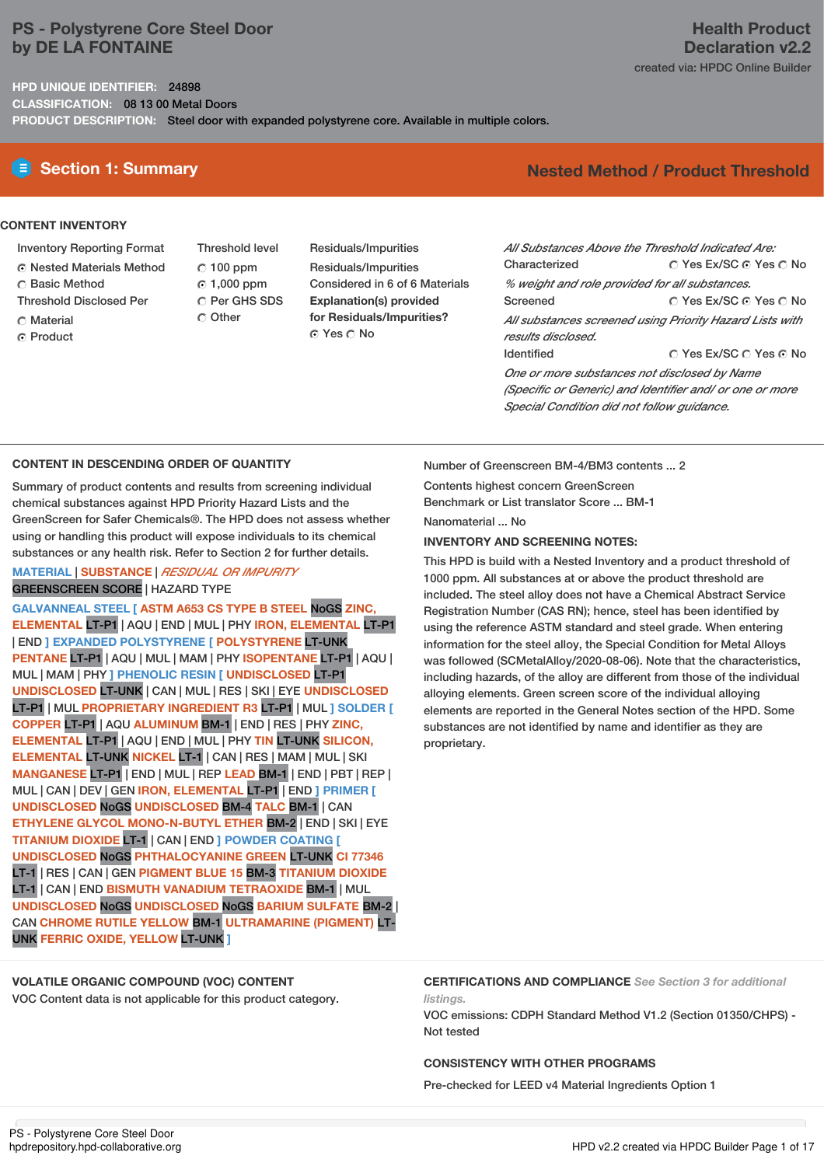# **PS - Polystyrene Core Steel Door by DE LA FONTAINE**

**HPD UNIQUE IDENTIFIER:** 24898 **CLASSIFICATION:** 08 13 00 Metal Doors **PRODUCT DESCRIPTION:** Steel door with expanded polystyrene core. Available in multiple colors.

### **CONTENT INVENTORY**

- Inventory Reporting Format
- Nested Materials Method
- Basic Method
- Threshold Disclosed Per
- **C** Material
- ⊙ Product

Threshold level 100 ppm 1,000 ppm C Per GHS SDS  $\cap$  Other

Residuals/Impurities Residuals/Impurities Considered in 6 of 6 Materials **Explanation(s) provided for Residuals/Impurities?** ⊙ Yes O No

# **Health Product Declaration v2.2** created via: HPDC Online Builder

# **Section 1: Summary Nested Method / Product Threshold**

| All Substances Above the Threshold Indicated Are:        |                        |  |  |  |  |
|----------------------------------------------------------|------------------------|--|--|--|--|
| Characterized                                            | ∩ Yes Ex/SC ∩ Yes ∩ No |  |  |  |  |
| % weight and role provided for all substances.           |                        |  |  |  |  |
| Screened                                                 | ∩ Yes Ex/SC ∩ Yes ∩ No |  |  |  |  |
| All substances screened using Priority Hazard Lists with |                        |  |  |  |  |
| results disclosed.                                       |                        |  |  |  |  |
| <b>Identified</b>                                        | ∩ Yes Ex/SC ∩ Yes ∩ No |  |  |  |  |
| One or more substances not disclosed by Name             |                        |  |  |  |  |
| (Specific or Generic) and Identifier and/ or one or more |                        |  |  |  |  |

**CONTENT IN DESCENDING ORDER OF QUANTITY**

Summary of product contents and results from screening individual chemical substances against HPD Priority Hazard Lists and the GreenScreen for Safer Chemicals®. The HPD does not assess whether using or handling this product will expose individuals to its chemical substances or any health risk. Refer to Section 2 for further details.

### **MATERIAL** | **SUBSTANCE** | *RESIDUAL OR IMPURITY* GREENSCREEN SCORE | HAZARD TYPE

**GALVANNEAL STEEL [ ASTM A653 CS TYPE B STEEL** NoGS **ZINC, ELEMENTAL** LT-P1 | AQU | END | MUL | PHY **IRON, ELEMENTAL** LT-P1 | END **] EXPANDED POLYSTYRENE [ POLYSTYRENE** LT-UNK **PENTANE** LT-P1 | AQU | MUL | MAM |PHY **ISOPENTANE** LT-P1 | AQU | MUL | MAM |PHY **] PHENOLIC RESIN [ UNDISCLOSED** LT-P1 **UNDISCLOSED** LT-UNK | CAN | MUL | RES | SKI | EYE **UNDISCLOSED** LT-P1 | MUL **PROPRIETARY INGREDIENT R3** LT-P1 | MUL **] SOLDER [ COPPER** LT-P1 | AQU **ALUMINUM** BM-1 | END | RES | PHY **ZINC, ELEMENTAL** LT-P1 | AQU | END | MUL | PHY **TIN** LT-UNK **SILICON, ELEMENTAL** LT-UNK **NICKEL** LT-1 | CAN | RES | MAM |MUL | SKI **MANGANESE** LT-P1 | END | MUL | REP **LEAD** BM-1 | END | PBT | REP | MUL | CAN | DEV | GEN **IRON, ELEMENTAL** LT-P1 | END **] PRIMER [ UNDISCLOSED** NoGS **UNDISCLOSED** BM-4 **TALC** BM-1 | CAN **ETHYLENE GLYCOL MONO-N-BUTYL ETHER** BM-2 | END | SKI | EYE **TITANIUM DIOXIDE** LT-1 | CAN | END **] POWDER COATING [ UNDISCLOSED** NoGS **PHTHALOCYANINE GREEN** LT-UNK **CI 77346** LT-1 | RES | CAN | GEN **PIGMENT BLUE 15** BM-3 **TITANIUM DIOXIDE** LT-1 | CAN | END **BISMUTH VANADIUM TETRAOXIDE** BM-1 | MUL **UNDISCLOSED** NoGS **UNDISCLOSED** NoGS **BARIUM SULFATE** BM-2 | CAN **CHROME RUTILE YELLOW** BM-1 **ULTRAMARINE (PIGMENT)** LT-UNK **FERRIC OXIDE, YELLOW** LT-UNK **]**

Number of Greenscreen BM-4/BM3 contents ... 2

Contents highest concern GreenScreen Benchmark or List translator Score ... BM-1 Nanomaterial No.

### **INVENTORY AND SCREENING NOTES:**

This HPD is build with a Nested Inventory and a product threshold of 1000 ppm. All substances at or above the product threshold are included. The steel alloy does not have a Chemical Abstract Service Registration Number (CAS RN); hence, steel has been identified by using the reference ASTM standard and steel grade. When entering information for the steel alloy, the Special Condition for Metal Alloys was followed (SCMetalAlloy/2020-08-06). Note that the characteristics, including hazards, of the alloy are different from those of the individual alloying elements. Green screen score of the individual alloying elements are reported in the General Notes section of the HPD. Some substances are not identified by name and identifier as they are proprietary.

*Special Condition did not follow guidance.*

# **VOLATILE ORGANIC COMPOUND (VOC) CONTENT**

VOC Content data is not applicable for this product category.

**CERTIFICATIONS AND COMPLIANCE** *See Section 3 for additional listings.*

VOC emissions: CDPH Standard Method V1.2 (Section 01350/CHPS) - Not tested

## **CONSISTENCY WITH OTHER PROGRAMS**

Pre-checked for LEED v4 Material Ingredients Option 1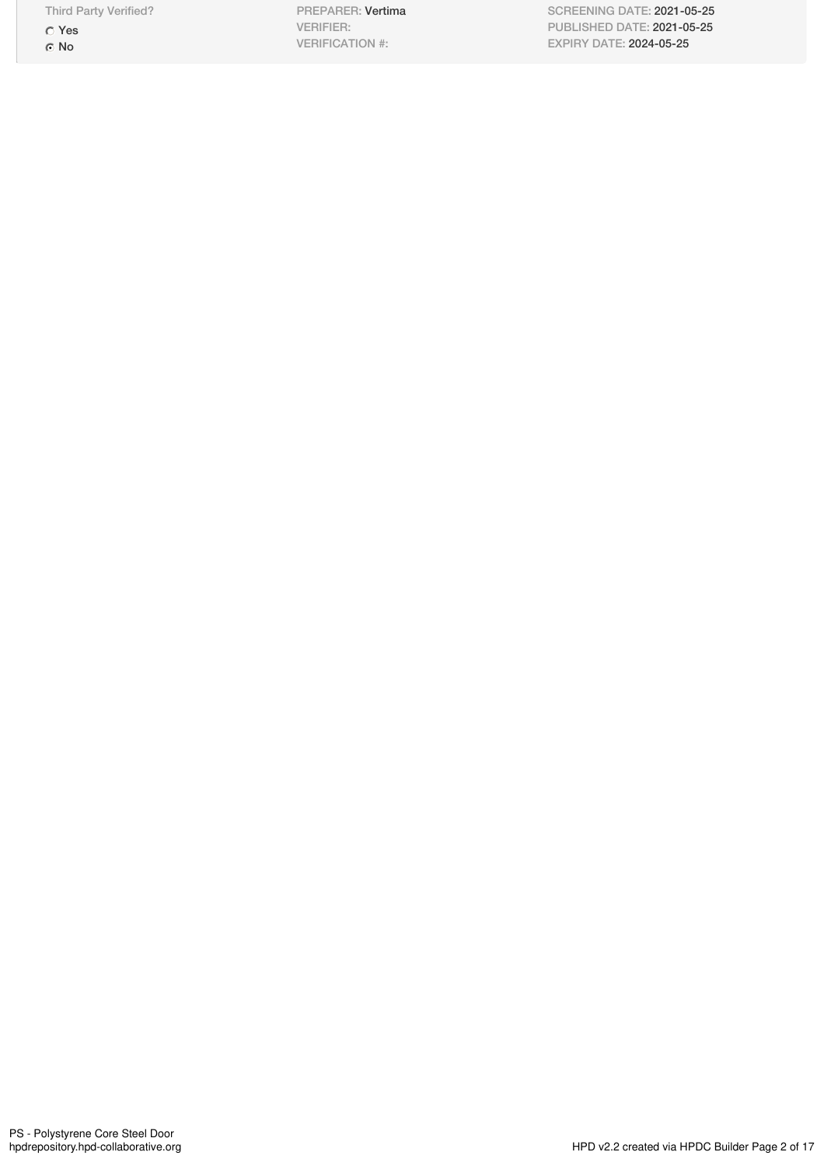Third Party Verified?

Yes ⊙ No

PREPARER: Vertima VERIFIER: VERIFICATION #:

SCREENING DATE: 2021-05-25 PUBLISHED DATE: 2021-05-25 EXPIRY DATE: 2024-05-25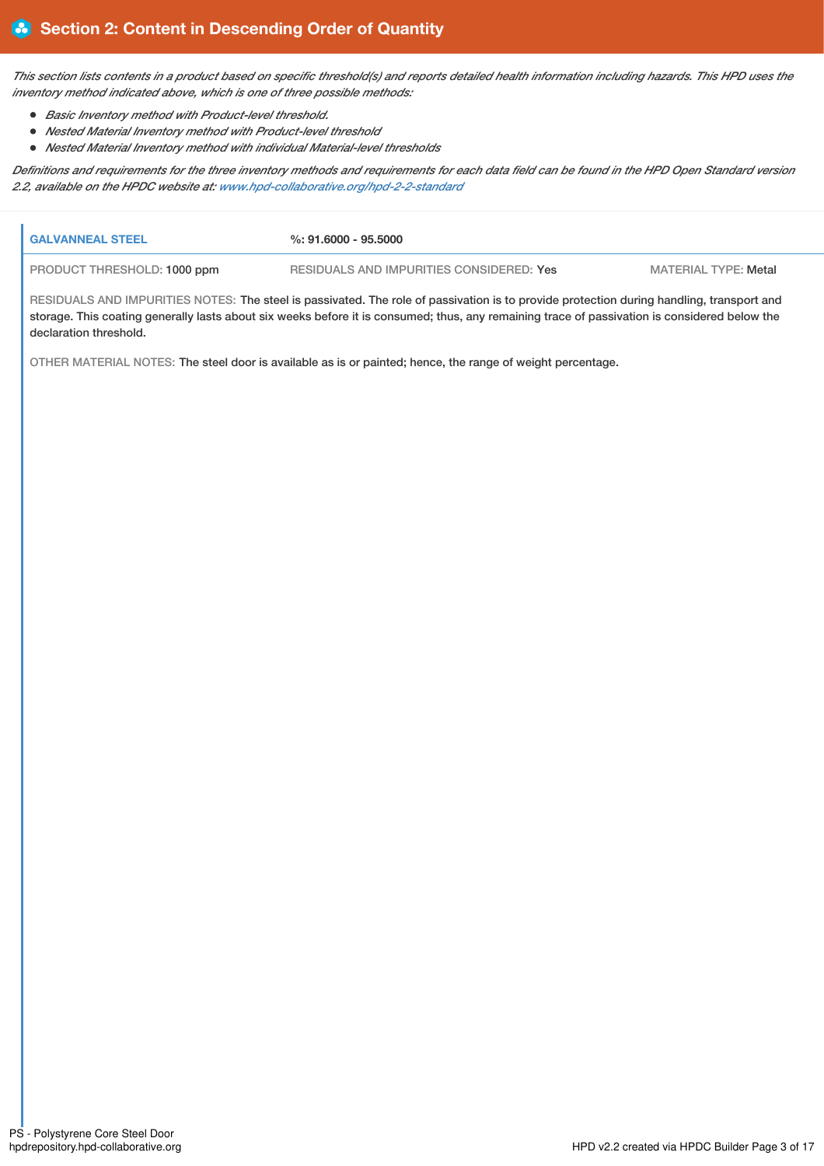This section lists contents in a product based on specific threshold(s) and reports detailed health information including hazards. This HPD uses the *inventory method indicated above, which is one of three possible methods:*

- *Basic Inventory method with Product-level threshold.*
- *Nested Material Inventory method with Product-level threshold*
- *Nested Material Inventory method with individual Material-level thresholds*

Definitions and requirements for the three inventory methods and requirements for each data field can be found in the HPD Open Standard version *2.2, available on the HPDC website at: [www.hpd-collaborative.org/hpd-2-2-standard](https://www.hpd-collaborative.org/hpd-2-2-standard)*

| <b>GALVANNEAL STEEL</b>     | $%: 91.6000 - 95.5000$                                                                                                                                                                                                                                                                    |                             |
|-----------------------------|-------------------------------------------------------------------------------------------------------------------------------------------------------------------------------------------------------------------------------------------------------------------------------------------|-----------------------------|
| PRODUCT THRESHOLD: 1000 ppm | RESIDUALS AND IMPURITIES CONSIDERED: Yes                                                                                                                                                                                                                                                  | <b>MATERIAL TYPE: Metal</b> |
| declaration threshold.      | RESIDUALS AND IMPURITIES NOTES: The steel is passivated. The role of passivation is to provide protection during handling, transport and<br>storage. This coating generally lasts about six weeks before it is consumed; thus, any remaining trace of passivation is considered below the |                             |
|                             | OTHER MATERIAL NOTES: The steel door is available as is or painted; hence, the range of weight percentage.                                                                                                                                                                                |                             |
|                             |                                                                                                                                                                                                                                                                                           |                             |
|                             |                                                                                                                                                                                                                                                                                           |                             |
|                             |                                                                                                                                                                                                                                                                                           |                             |
|                             |                                                                                                                                                                                                                                                                                           |                             |
|                             |                                                                                                                                                                                                                                                                                           |                             |
|                             |                                                                                                                                                                                                                                                                                           |                             |
|                             |                                                                                                                                                                                                                                                                                           |                             |
|                             |                                                                                                                                                                                                                                                                                           |                             |
|                             |                                                                                                                                                                                                                                                                                           |                             |
|                             |                                                                                                                                                                                                                                                                                           |                             |
|                             |                                                                                                                                                                                                                                                                                           |                             |
|                             |                                                                                                                                                                                                                                                                                           |                             |
|                             |                                                                                                                                                                                                                                                                                           |                             |
|                             |                                                                                                                                                                                                                                                                                           |                             |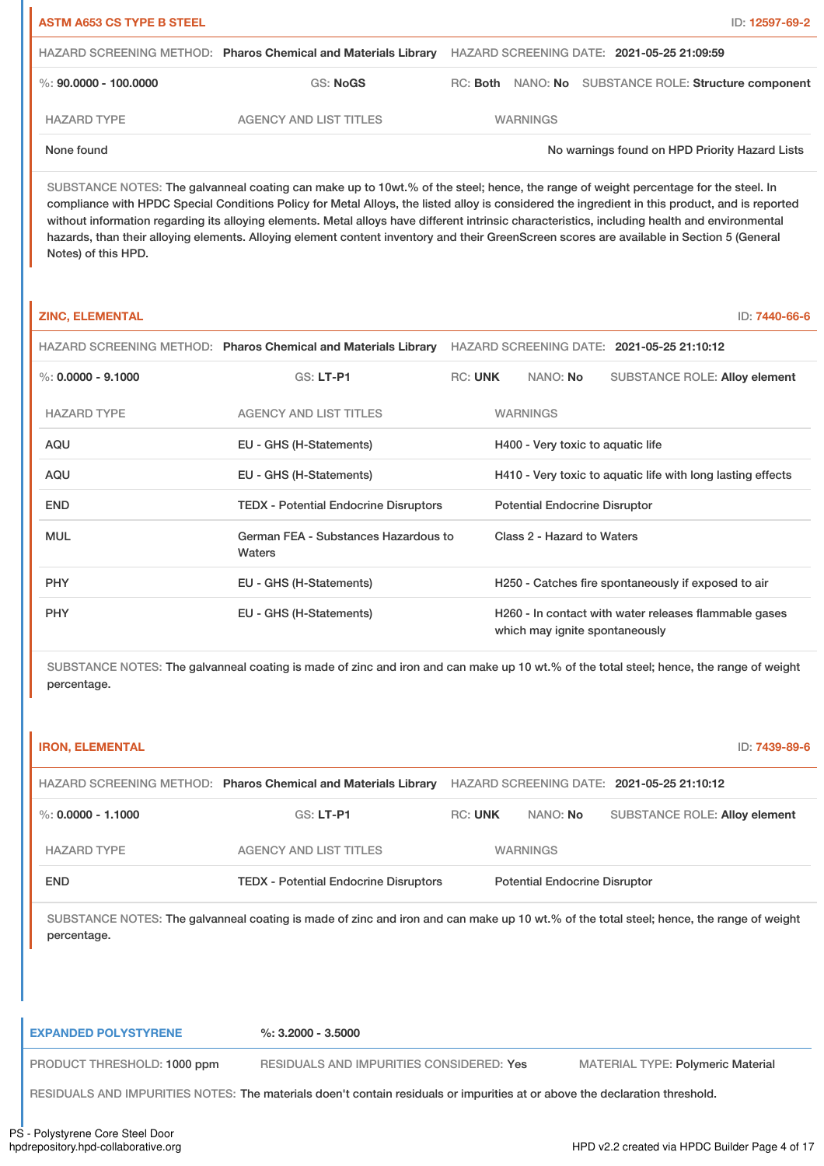| <b>ASTM A653 CS TYPE B STEEL</b> |                                                                |                                            |  | ID: 12597-69-2                                        |
|----------------------------------|----------------------------------------------------------------|--------------------------------------------|--|-------------------------------------------------------|
|                                  | HAZARD SCREENING METHOD: Pharos Chemical and Materials Library | HAZARD SCREENING DATE: 2021-05-25 21:09:59 |  |                                                       |
| %: 90,0000 - 100,0000            | GS: NoGS                                                       |                                            |  | RC: Both NANO: No SUBSTANCE ROLE: Structure component |
| <b>HAZARD TYPE</b>               | AGENCY AND LIST TITLES                                         | <b>WARNINGS</b>                            |  |                                                       |
| None found                       |                                                                |                                            |  | No warnings found on HPD Priority Hazard Lists        |

SUBSTANCE NOTES: The galvanneal coating can make up to 10wt.% of the steel; hence, the range of weight percentage for the steel. In compliance with HPDC Special Conditions Policy for Metal Alloys, the listed alloy is considered the ingredient in this product, and is reported without information regarding its alloying elements. Metal alloys have different intrinsic characteristics, including health and environmental hazards, than their alloying elements. Alloying element content inventory and their GreenScreen scores are available in Section 5 (General Notes) of this HPD.

| <b>ZINC, ELEMENTAL</b> |                                                                |                |                                                             | ID: 7440-66-6                                         |  |  |
|------------------------|----------------------------------------------------------------|----------------|-------------------------------------------------------------|-------------------------------------------------------|--|--|
|                        | HAZARD SCREENING METHOD: Pharos Chemical and Materials Library |                |                                                             | HAZARD SCREENING DATE: 2021-05-25 21:10:12            |  |  |
| $\%$ : 0.0000 - 9.1000 | GS: LT-P1                                                      | <b>RC: UNK</b> | NANO: No                                                    | <b>SUBSTANCE ROLE: Alloy element</b>                  |  |  |
| <b>HAZARD TYPE</b>     | <b>AGENCY AND LIST TITLES</b>                                  |                | <b>WARNINGS</b>                                             |                                                       |  |  |
| <b>AQU</b>             | EU - GHS (H-Statements)                                        |                | H400 - Very toxic to aquatic life                           |                                                       |  |  |
| <b>AQU</b>             | EU - GHS (H-Statements)                                        |                | H410 - Very toxic to aquatic life with long lasting effects |                                                       |  |  |
| <b>END</b>             | <b>TEDX - Potential Endocrine Disruptors</b>                   |                | <b>Potential Endocrine Disruptor</b>                        |                                                       |  |  |
| <b>MUL</b>             | German FEA - Substances Hazardous to<br>Waters                 |                | Class 2 - Hazard to Waters                                  |                                                       |  |  |
| <b>PHY</b>             | EU - GHS (H-Statements)                                        |                |                                                             | H250 - Catches fire spontaneously if exposed to air   |  |  |
| <b>PHY</b>             | EU - GHS (H-Statements)                                        |                | which may ignite spontaneously                              | H260 - In contact with water releases flammable gases |  |  |

SUBSTANCE NOTES: The galvanneal coating is made of zinc and iron and can make up 10 wt.% of the total steel; hence, the range of weight percentage.

| <b>IRON, ELEMENTAL</b> |                                                                                                                                         |                |                                      | ID: 7439-89-6                              |
|------------------------|-----------------------------------------------------------------------------------------------------------------------------------------|----------------|--------------------------------------|--------------------------------------------|
|                        | HAZARD SCREENING METHOD: Pharos Chemical and Materials Library                                                                          |                |                                      | HAZARD SCREENING DATE: 2021-05-25 21:10:12 |
| %: 0.0000 - 1.1000     | $GS: LT-PI$                                                                                                                             | <b>RC: UNK</b> | NANO: No                             | <b>SUBSTANCE ROLE: Alloy element</b>       |
| <b>HAZARD TYPE</b>     | <b>AGENCY AND LIST TITLES</b>                                                                                                           |                | <b>WARNINGS</b>                      |                                            |
| <b>END</b>             | <b>TEDX - Potential Endocrine Disruptors</b>                                                                                            |                | <b>Potential Endocrine Disruptor</b> |                                            |
| percentage.            | SUBSTANCE NOTES: The galvanneal coating is made of zinc and iron and can make up 10 wt.% of the total steel; hence, the range of weight |                |                                      |                                            |

| <b>EXPANDED POLYSTYRENE</b> | $\%$ : 3.2000 - 3.5000                                                                                                      |                                          |
|-----------------------------|-----------------------------------------------------------------------------------------------------------------------------|------------------------------------------|
| PRODUCT THRESHOLD: 1000 ppm | RESIDUALS AND IMPURITIES CONSIDERED: Yes                                                                                    | <b>MATERIAL TYPE: Polymeric Material</b> |
|                             | RESIDUALS AND IMPURITIES NOTES: The materials doen't contain residuals or impurities at or above the declaration threshold. |                                          |
| Billiam Comp Other Bread    |                                                                                                                             |                                          |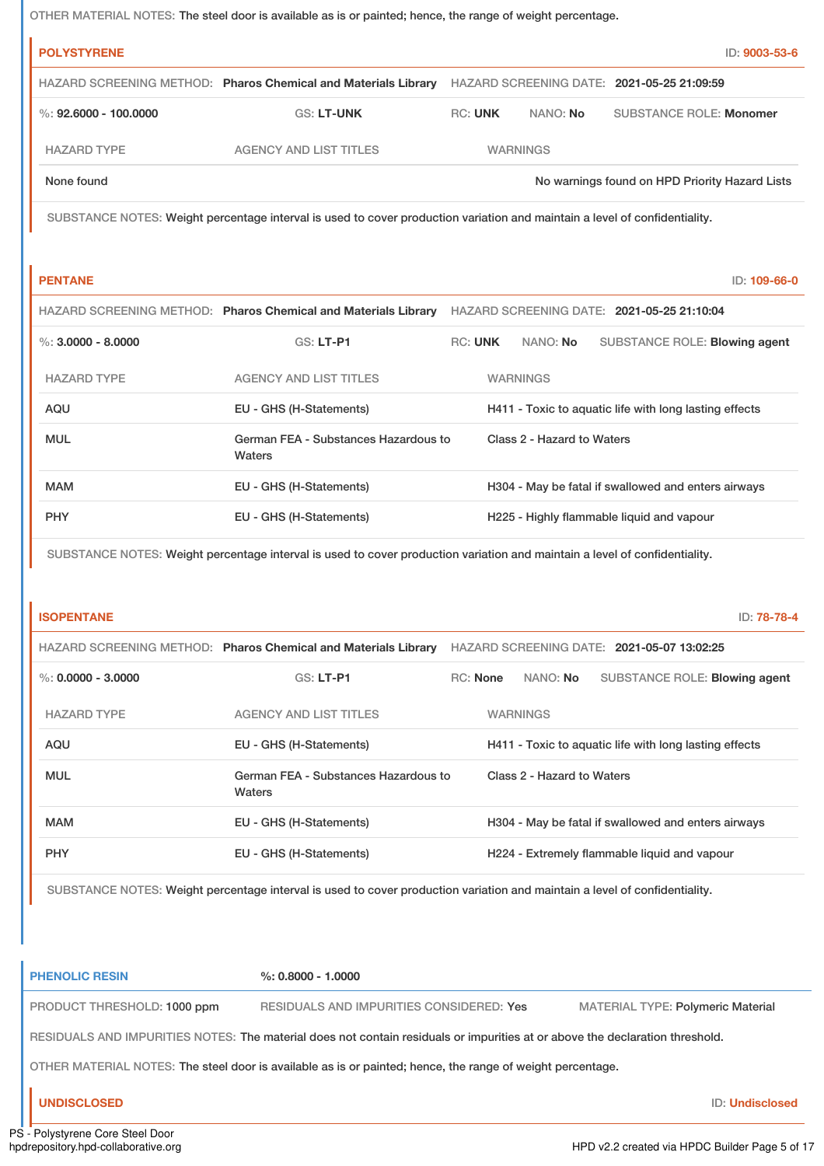OTHER MATERIAL NOTES: The steel door is available as is or painted; hence, the range of weight percentage.

| <b>POLYSTYRENE</b>      |                                                                |                |                 | ID: 9003-53-6                                  |
|-------------------------|----------------------------------------------------------------|----------------|-----------------|------------------------------------------------|
|                         | HAZARD SCREENING METHOD: Pharos Chemical and Materials Library |                |                 | HAZARD SCREENING DATE: 2021-05-25 21:09:59     |
| %: $92.6000 - 100.0000$ | <b>GS: LT-UNK</b>                                              | <b>RC: UNK</b> | NANO: No        | <b>SUBSTANCE ROLE: Monomer</b>                 |
| <b>HAZARD TYPE</b>      | <b>AGENCY AND LIST TITLES</b>                                  |                | <b>WARNINGS</b> |                                                |
| None found              |                                                                |                |                 | No warnings found on HPD Priority Hazard Lists |
|                         |                                                                |                |                 |                                                |

SUBSTANCE NOTES: Weight percentage interval is used to cover production variation and maintain a level of confidentiality.

**PENTANE** ID: **109-66-0**

|                      | HAZARD SCREENING METHOD: Pharos Chemical and Materials Library |                |                            | HAZARD SCREENING DATE: 2021-05-25 21:10:04             |  |
|----------------------|----------------------------------------------------------------|----------------|----------------------------|--------------------------------------------------------|--|
| %: $3.0000 - 8.0000$ | $GS: LT-PI$                                                    | <b>RC: UNK</b> | NANO: No                   | SUBSTANCE ROLE: Blowing agent                          |  |
| <b>HAZARD TYPE</b>   | <b>AGENCY AND LIST TITLES</b>                                  |                | WARNINGS                   |                                                        |  |
| AQU                  | EU - GHS (H-Statements)                                        |                |                            | H411 - Toxic to aquatic life with long lasting effects |  |
| <b>MUL</b>           | German FEA - Substances Hazardous to<br>Waters                 |                | Class 2 - Hazard to Waters |                                                        |  |
| <b>MAM</b>           | EU - GHS (H-Statements)                                        |                |                            | H304 - May be fatal if swallowed and enters airways    |  |
| <b>PHY</b>           | EU - GHS (H-Statements)                                        |                |                            | H225 - Highly flammable liquid and vapour              |  |

SUBSTANCE NOTES: Weight percentage interval is used to cover production variation and maintain a level of confidentiality.

| <b>ISOPENTANE</b>    |                                                                |                 |                            |                                              | ID: 78-78-4                                            |
|----------------------|----------------------------------------------------------------|-----------------|----------------------------|----------------------------------------------|--------------------------------------------------------|
|                      | HAZARD SCREENING METHOD: Pharos Chemical and Materials Library |                 |                            | HAZARD SCREENING DATE: 2021-05-07 13:02:25   |                                                        |
| %: $0.0000 - 3.0000$ | $GS: LT-PI$                                                    | <b>RC:</b> None | NANO: <b>No</b>            |                                              | SUBSTANCE ROLE: Blowing agent                          |
| <b>HAZARD TYPE</b>   | AGENCY AND LIST TITLES                                         |                 | <b>WARNINGS</b>            |                                              |                                                        |
| <b>AQU</b>           | EU - GHS (H-Statements)                                        |                 |                            |                                              | H411 - Toxic to aquatic life with long lasting effects |
| <b>MUL</b>           | German FEA - Substances Hazardous to<br>Waters                 |                 | Class 2 - Hazard to Waters |                                              |                                                        |
| <b>MAM</b>           | EU - GHS (H-Statements)                                        |                 |                            |                                              | H304 - May be fatal if swallowed and enters airways    |
| <b>PHY</b>           | EU - GHS (H-Statements)                                        |                 |                            | H224 - Extremely flammable liquid and vapour |                                                        |

SUBSTANCE NOTES: Weight percentage interval is used to cover production variation and maintain a level of confidentiality.

| <b>PHENOLIC RESIN</b>                                                                                                        | $\%$ : 0.8000 - 1.0000                   |                                          |  |  |  |  |
|------------------------------------------------------------------------------------------------------------------------------|------------------------------------------|------------------------------------------|--|--|--|--|
| PRODUCT THRESHOLD: 1000 ppm                                                                                                  | RESIDUALS AND IMPURITIES CONSIDERED: Yes | <b>MATERIAL TYPE: Polymeric Material</b> |  |  |  |  |
| RESIDUALS AND IMPURITIES NOTES: The material does not contain residuals or impurities at or above the declaration threshold. |                                          |                                          |  |  |  |  |
| OTHER MATERIAL NOTES: The steel door is available as is or painted; hence, the range of weight percentage.                   |                                          |                                          |  |  |  |  |
| <b>UNDISCLOSED</b>                                                                                                           |                                          | <b>ID: Undisclosed</b>                   |  |  |  |  |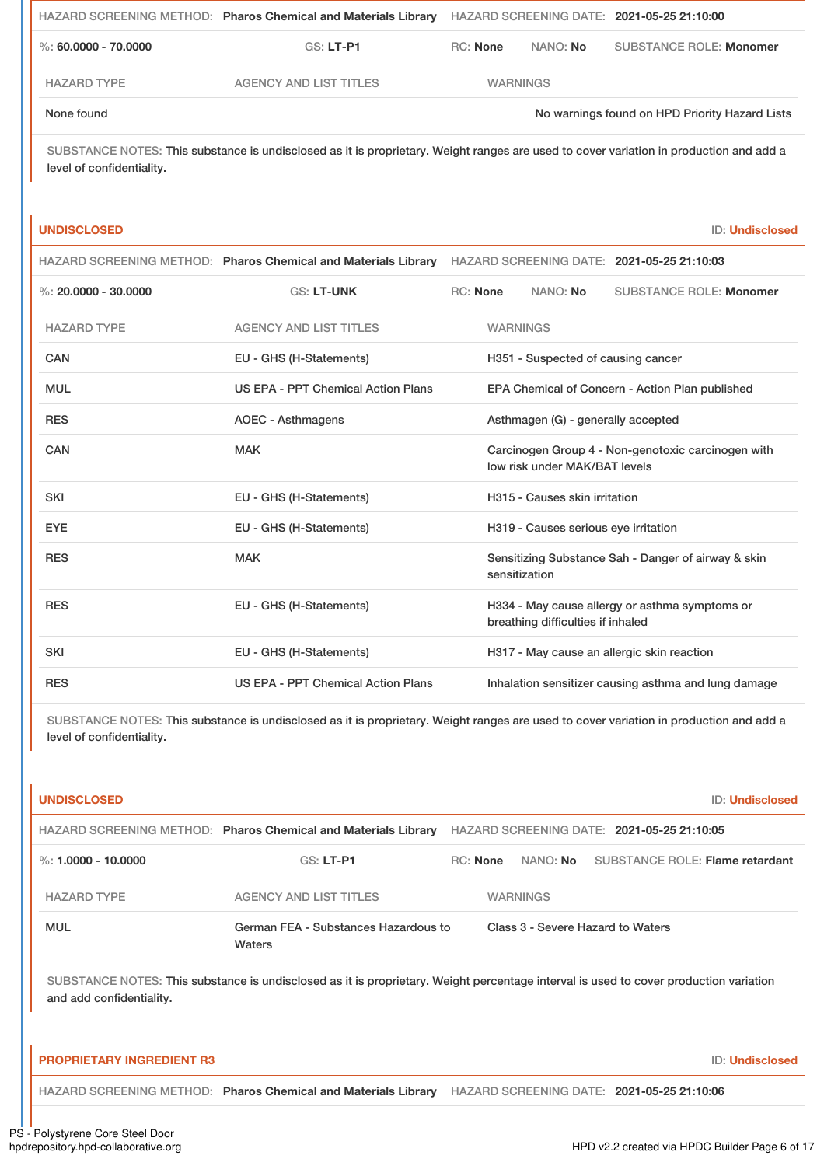|                      | HAZARD SCREENING METHOD: Pharos Chemical and Materials Library | HAZARD SCREENING DATE: 2021-05-25 21:10:00 |          |                                                |
|----------------------|----------------------------------------------------------------|--------------------------------------------|----------|------------------------------------------------|
| %: 60,0000 - 70,0000 | $GS: LT-P1$                                                    | <b>RC:</b> None                            | NANO: No | <b>SUBSTANCE ROLE: Monomer</b>                 |
| <b>HAZARD TYPE</b>   | <b>AGENCY AND LIST TITLES</b>                                  | <b>WARNINGS</b>                            |          |                                                |
| None found           |                                                                |                                            |          | No warnings found on HPD Priority Hazard Lists |

SUBSTANCE NOTES: This substance is undisclosed as it is proprietary. Weight ranges are used to cover variation in production and add a level of confidentiality.

### **UNDISCLOSED** ID: **Undisclosed**

|                        |                                    | HAZARD SCREENING METHOD: Pharos Chemical and Materials Library HAZARD SCREENING DATE: 2021-05-25 21:10:03 |
|------------------------|------------------------------------|-----------------------------------------------------------------------------------------------------------|
| %: $20.0000 - 30.0000$ | <b>GS: LT-UNK</b>                  | <b>RC:</b> None<br>NANO: No<br><b>SUBSTANCE ROLE: Monomer</b>                                             |
| <b>HAZARD TYPE</b>     | <b>AGENCY AND LIST TITLES</b>      | <b>WARNINGS</b>                                                                                           |
| CAN                    | EU - GHS (H-Statements)            | H351 - Suspected of causing cancer                                                                        |
| <b>MUL</b>             | US EPA - PPT Chemical Action Plans | EPA Chemical of Concern - Action Plan published                                                           |
| <b>RES</b>             | <b>AOEC - Asthmagens</b>           | Asthmagen (G) - generally accepted                                                                        |
| <b>CAN</b>             | <b>MAK</b>                         | Carcinogen Group 4 - Non-genotoxic carcinogen with<br>low risk under MAK/BAT levels                       |
| <b>SKI</b>             | EU - GHS (H-Statements)            | H315 - Causes skin irritation                                                                             |
| <b>EYE</b>             | EU - GHS (H-Statements)            | H319 - Causes serious eye irritation                                                                      |
| <b>RES</b>             | <b>MAK</b>                         | Sensitizing Substance Sah - Danger of airway & skin<br>sensitization                                      |
| <b>RES</b>             | EU - GHS (H-Statements)            | H334 - May cause allergy or asthma symptoms or<br>breathing difficulties if inhaled                       |
| <b>SKI</b>             | EU - GHS (H-Statements)            | H317 - May cause an allergic skin reaction                                                                |
| <b>RES</b>             | US EPA - PPT Chemical Action Plans | Inhalation sensitizer causing asthma and lung damage                                                      |

SUBSTANCE NOTES: This substance is undisclosed as it is proprietary. Weight ranges are used to cover variation in production and add a level of confidentiality.

| <b>UNDISCLOSED</b>               |                                                                                                                                       |                                   | <b>ID: Undisclosed</b>                     |
|----------------------------------|---------------------------------------------------------------------------------------------------------------------------------------|-----------------------------------|--------------------------------------------|
|                                  | HAZARD SCREENING METHOD: Pharos Chemical and Materials Library                                                                        |                                   | HAZARD SCREENING DATE: 2021-05-25 21:10:05 |
| %: $1.0000 - 10.0000$            | $GS: LT-PI$                                                                                                                           | RC: None                          | NANO: No SUBSTANCE ROLE: Flame retardant   |
| <b>HAZARD TYPE</b>               | <b>AGENCY AND LIST TITLES</b>                                                                                                         | <b>WARNINGS</b>                   |                                            |
| <b>MUL</b>                       | German FEA - Substances Hazardous to<br>Waters                                                                                        | Class 3 - Severe Hazard to Waters |                                            |
| and add confidentiality.         | SUBSTANCE NOTES: This substance is undisclosed as it is proprietary. Weight percentage interval is used to cover production variation |                                   |                                            |
| <b>PROPRIETARY INGREDIENT R3</b> |                                                                                                                                       |                                   | <b>ID: Undisclosed</b>                     |
|                                  | HAZARD SCREENING METHOD: Pharos Chemical and Materials Library HAZARD SCREENING DATE: 2021-05-25 21:10:06                             |                                   |                                            |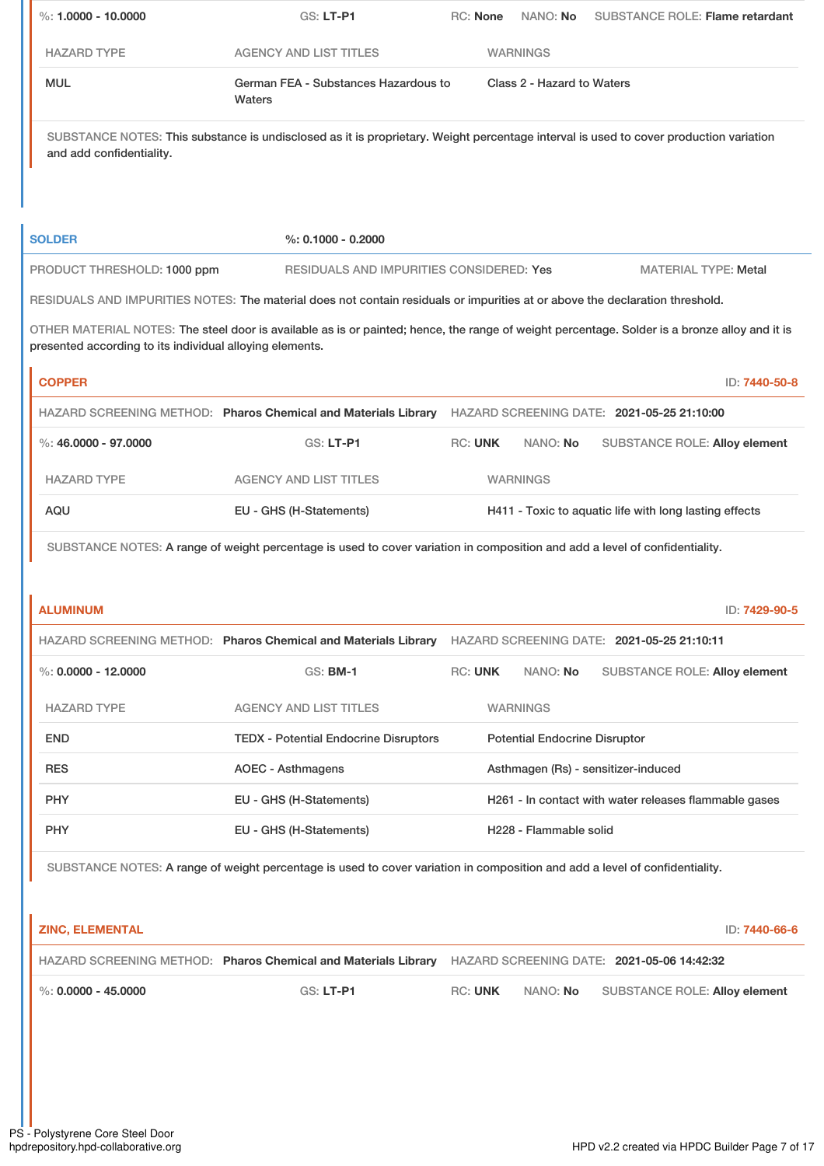| $\%: 1.0000 - 10.0000$                                   | <b>GS: LT-P1</b>                                                                                                                              | <b>RC: None</b> | NANO: No                             | <b>SUBSTANCE ROLE: Flame retardant</b>                 |
|----------------------------------------------------------|-----------------------------------------------------------------------------------------------------------------------------------------------|-----------------|--------------------------------------|--------------------------------------------------------|
| <b>HAZARD TYPE</b>                                       | <b>AGENCY AND LIST TITLES</b>                                                                                                                 |                 | <b>WARNINGS</b>                      |                                                        |
| <b>MUL</b>                                               | German FEA - Substances Hazardous to<br>Waters                                                                                                |                 | Class 2 - Hazard to Waters           |                                                        |
| and add confidentiality.                                 | SUBSTANCE NOTES: This substance is undisclosed as it is proprietary. Weight percentage interval is used to cover production variation         |                 |                                      |                                                        |
| <b>SOLDER</b>                                            | $%: 0.1000 - 0.2000$                                                                                                                          |                 |                                      |                                                        |
| PRODUCT THRESHOLD: 1000 ppm                              | RESIDUALS AND IMPURITIES CONSIDERED: Yes                                                                                                      |                 |                                      | <b>MATERIAL TYPE: Metal</b>                            |
|                                                          | RESIDUALS AND IMPURITIES NOTES: The material does not contain residuals or impurities at or above the declaration threshold.                  |                 |                                      |                                                        |
| presented according to its individual alloying elements. | OTHER MATERIAL NOTES: The steel door is available as is or painted; hence, the range of weight percentage. Solder is a bronze alloy and it is |                 |                                      |                                                        |
| <b>COPPER</b>                                            |                                                                                                                                               |                 |                                      | ID: 7440-50-8                                          |
|                                                          | HAZARD SCREENING METHOD: Pharos Chemical and Materials Library HAZARD SCREENING DATE: 2021-05-25 21:10:00                                     |                 |                                      |                                                        |
| $\%$ : 46.0000 - 97.0000                                 | GS: LT-P1                                                                                                                                     | <b>RC: UNK</b>  | NANO: No                             | <b>SUBSTANCE ROLE: Alloy element</b>                   |
| <b>HAZARD TYPE</b>                                       | <b>AGENCY AND LIST TITLES</b>                                                                                                                 |                 | <b>WARNINGS</b>                      |                                                        |
| AQU                                                      | EU - GHS (H-Statements)                                                                                                                       |                 |                                      | H411 - Toxic to aquatic life with long lasting effects |
|                                                          | SUBSTANCE NOTES: A range of weight percentage is used to cover variation in composition and add a level of confidentiality.                   |                 |                                      |                                                        |
|                                                          |                                                                                                                                               |                 |                                      |                                                        |
| <b>ALUMINUM</b>                                          |                                                                                                                                               |                 |                                      | ID: 7429-90-5                                          |
|                                                          | HAZARD SCREENING METHOD: Pharos Chemical and Materials Library HAZARD SCREENING DATE: 2021-05-25 21:10:11                                     |                 |                                      |                                                        |
| %: $0.0000 - 12.0000$                                    | <b>GS: BM-1</b>                                                                                                                               | <b>RC: UNK</b>  | NANO: No                             | <b>SUBSTANCE ROLE: Alloy element</b>                   |
| <b>HAZARD TYPE</b>                                       | <b>AGENCY AND LIST TITLES</b>                                                                                                                 |                 | <b>WARNINGS</b>                      |                                                        |
| <b>END</b>                                               | <b>TEDX - Potential Endocrine Disruptors</b>                                                                                                  |                 | <b>Potential Endocrine Disruptor</b> |                                                        |
| <b>RES</b>                                               | <b>AOEC - Asthmagens</b>                                                                                                                      |                 |                                      | Asthmagen (Rs) - sensitizer-induced                    |
| <b>PHY</b>                                               | EU - GHS (H-Statements)                                                                                                                       |                 |                                      | H261 - In contact with water releases flammable gases  |
| <b>PHY</b>                                               | EU - GHS (H-Statements)                                                                                                                       |                 | H228 - Flammable solid               |                                                        |
|                                                          | SUBSTANCE NOTES: A range of weight percentage is used to cover variation in composition and add a level of confidentiality.                   |                 |                                      |                                                        |
|                                                          |                                                                                                                                               |                 |                                      |                                                        |
| <b>ZINC, ELEMENTAL</b>                                   |                                                                                                                                               |                 |                                      | ID: 7440-66-6                                          |
|                                                          | HAZARD SCREENING METHOD: Pharos Chemical and Materials Library HAZARD SCREENING DATE: 2021-05-06 14:42:32                                     |                 |                                      |                                                        |
| $\%$ : 0.0000 - 45.0000                                  | <b>GS: LT-P1</b>                                                                                                                              | <b>RC: UNK</b>  | NANO: No                             | <b>SUBSTANCE ROLE: Alloy element</b>                   |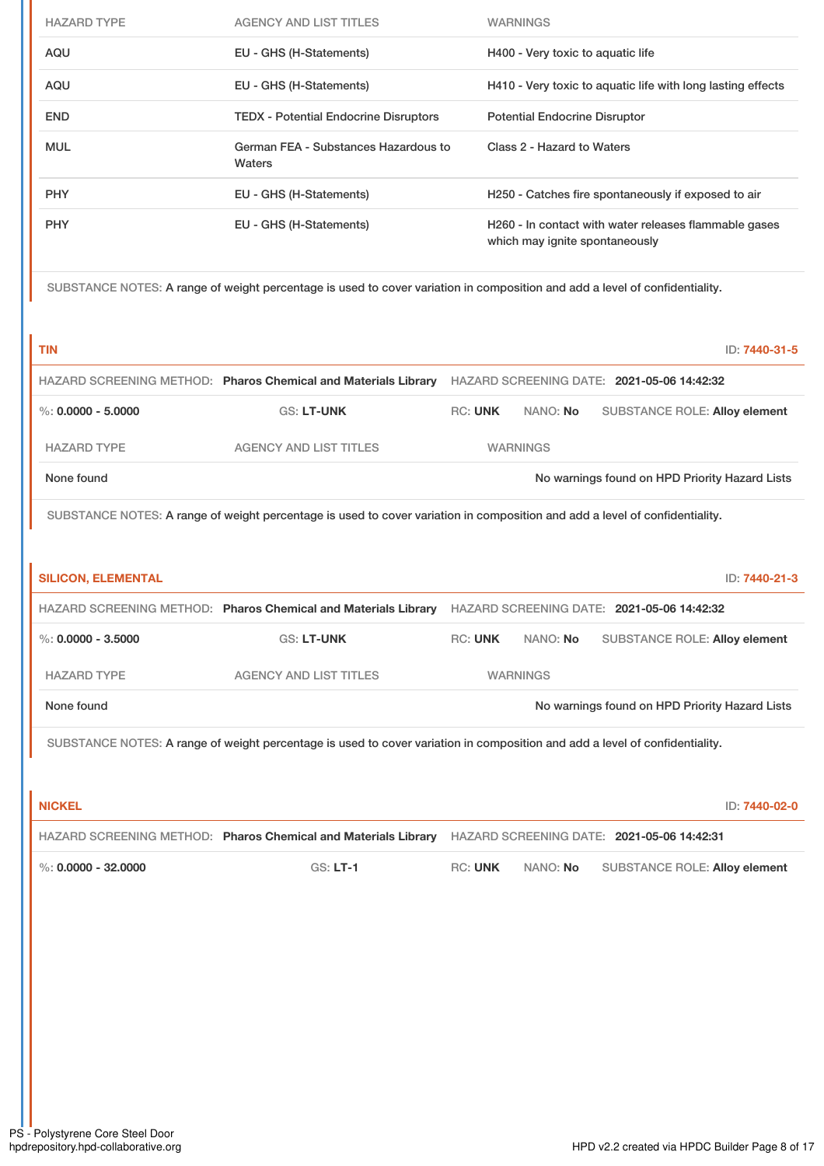| <b>HAZARD TYPE</b> | <b>AGENCY AND LIST TITLES</b>                                                                                               | <b>WARNINGS</b>                                                                         |
|--------------------|-----------------------------------------------------------------------------------------------------------------------------|-----------------------------------------------------------------------------------------|
| AQU                | EU - GHS (H-Statements)                                                                                                     | H400 - Very toxic to aquatic life                                                       |
| AQU                | EU - GHS (H-Statements)                                                                                                     | H410 - Very toxic to aquatic life with long lasting effects                             |
| <b>END</b>         | <b>TEDX - Potential Endocrine Disruptors</b>                                                                                | <b>Potential Endocrine Disruptor</b>                                                    |
| <b>MUL</b>         | German FEA - Substances Hazardous to<br><b>Waters</b>                                                                       | Class 2 - Hazard to Waters                                                              |
| <b>PHY</b>         | EU - GHS (H-Statements)                                                                                                     | H250 - Catches fire spontaneously if exposed to air                                     |
| <b>PHY</b>         | EU - GHS (H-Statements)                                                                                                     | H260 - In contact with water releases flammable gases<br>which may ignite spontaneously |
|                    | SUBSTANCE NOTES: A range of weight percentage is used to cover variation in composition and add a level of confidentiality. |                                                                                         |

| ____<br>. . |  |  |
|-------------|--|--|
|             |  |  |
|             |  |  |

**TIN** ID: **7440-31-5**

|                      | HAZARD SCREENING METHOD: Pharos Chemical and Materials Library |                |                 | HAZARD SCREENING DATE: 2021-05-06 14:42:32     |
|----------------------|----------------------------------------------------------------|----------------|-----------------|------------------------------------------------|
| %: $0.0000 - 5.0000$ | <b>GS: LT-UNK</b>                                              | <b>RC: UNK</b> | NANO: No        | <b>SUBSTANCE ROLE: Alloy element</b>           |
| <b>HAZARD TYPE</b>   | <b>AGENCY AND LIST TITLES</b>                                  |                | <b>WARNINGS</b> |                                                |
| None found           |                                                                |                |                 | No warnings found on HPD Priority Hazard Lists |

SUBSTANCE NOTES: A range of weight percentage is used to cover variation in composition and add a level of confidentiality.

| <b>SILICON, ELEMENTAL</b> |                                                                                                                             |                |                 | ID: 7440-21-3                                  |
|---------------------------|-----------------------------------------------------------------------------------------------------------------------------|----------------|-----------------|------------------------------------------------|
|                           | HAZARD SCREENING METHOD: Pharos Chemical and Materials Library                                                              |                |                 | HAZARD SCREENING DATE: 2021-05-06 14:42:32     |
| %: $0.0000 - 3.5000$      | <b>GS: LT-UNK</b>                                                                                                           | <b>RC: UNK</b> | NANO: No        | <b>SUBSTANCE ROLE: Alloy element</b>           |
| <b>HAZARD TYPE</b>        | <b>AGENCY AND LIST TITLES</b>                                                                                               |                | <b>WARNINGS</b> |                                                |
| None found                |                                                                                                                             |                |                 | No warnings found on HPD Priority Hazard Lists |
|                           | SUBSTANCE NOTES: A range of weight percentage is used to cover variation in composition and add a level of confidentiality. |                |                 |                                                |

**NICKEL** ID: **7440-02-0** HAZARD SCREENING METHOD: **Pharos Chemical and Materials Library** HAZARD SCREENING DATE: **2021-05-06 14:42:31** %: **0.0000 - 32.0000** GS: **LT-1** RC: **UNK** NANO: **No** SUBSTANCE ROLE: **Alloy element**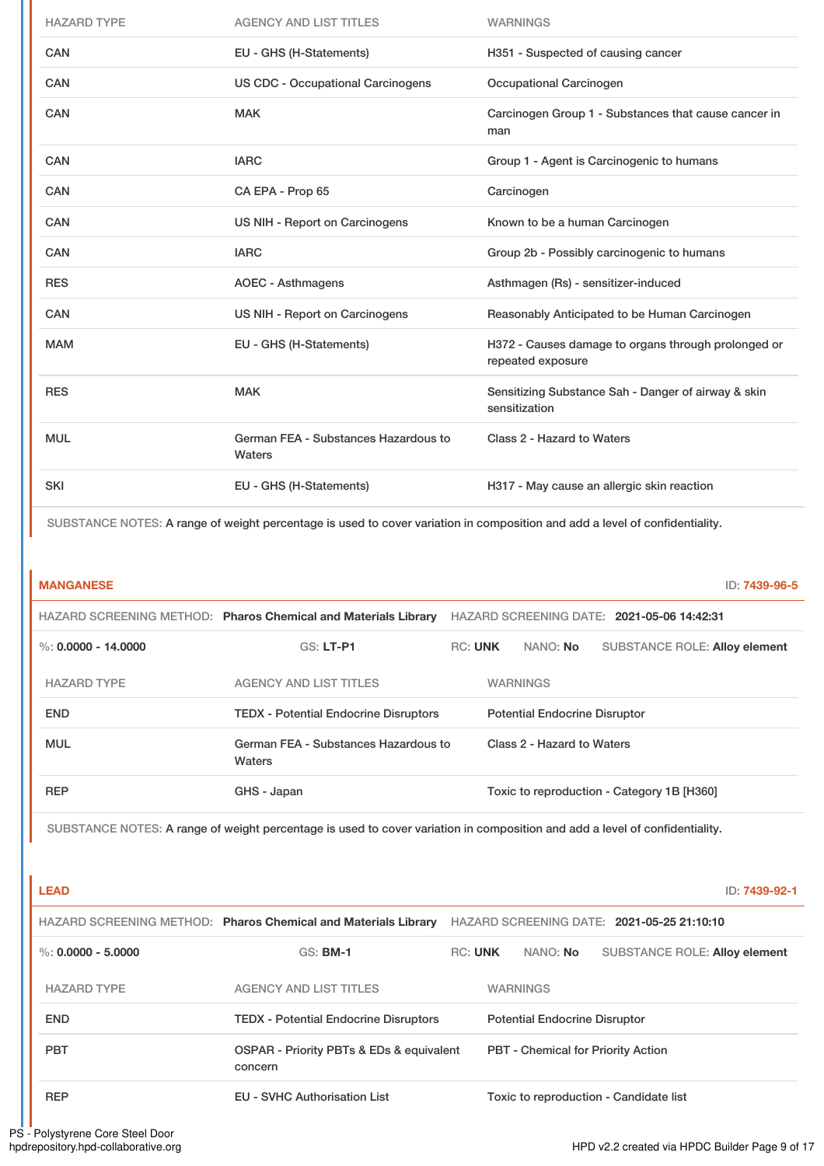| <b>HAZARD TYPE</b> | <b>AGENCY AND LIST TITLES</b>                  | <b>WARNINGS</b>                                                          |
|--------------------|------------------------------------------------|--------------------------------------------------------------------------|
| <b>CAN</b>         | EU - GHS (H-Statements)                        | H351 - Suspected of causing cancer                                       |
| <b>CAN</b>         | <b>US CDC - Occupational Carcinogens</b>       | Occupational Carcinogen                                                  |
| CAN                | <b>MAK</b>                                     | Carcinogen Group 1 - Substances that cause cancer in<br>man              |
| CAN                | <b>IARC</b>                                    | Group 1 - Agent is Carcinogenic to humans                                |
| <b>CAN</b>         | CA EPA - Prop 65                               | Carcinogen                                                               |
| CAN                | US NIH - Report on Carcinogens                 | Known to be a human Carcinogen                                           |
| <b>CAN</b>         | <b>IARC</b>                                    | Group 2b - Possibly carcinogenic to humans                               |
| <b>RES</b>         | <b>AOEC - Asthmagens</b>                       | Asthmagen (Rs) - sensitizer-induced                                      |
| <b>CAN</b>         | US NIH - Report on Carcinogens                 | Reasonably Anticipated to be Human Carcinogen                            |
| <b>MAM</b>         | EU - GHS (H-Statements)                        | H372 - Causes damage to organs through prolonged or<br>repeated exposure |
| <b>RES</b>         | <b>MAK</b>                                     | Sensitizing Substance Sah - Danger of airway & skin<br>sensitization     |
| <b>MUL</b>         | German FEA - Substances Hazardous to<br>Waters | Class 2 - Hazard to Waters                                               |
| <b>SKI</b>         | EU - GHS (H-Statements)                        | H317 - May cause an allergic skin reaction                               |

SUBSTANCE NOTES: A range of weight percentage is used to cover variation in composition and add a level of confidentiality.

| <b>MANGANESE</b>      |                                                                |                |                                      |                                            | ID: 7439-96-5 |
|-----------------------|----------------------------------------------------------------|----------------|--------------------------------------|--------------------------------------------|---------------|
|                       | HAZARD SCREENING METHOD: Pharos Chemical and Materials Library |                |                                      | HAZARD SCREENING DATE: 2021-05-06 14:42:31 |               |
| %: $0.0000 - 14.0000$ | <b>GS: LT-P1</b>                                               | <b>RC: UNK</b> | NANO: <b>No</b>                      | <b>SUBSTANCE ROLE: Alloy element</b>       |               |
| <b>HAZARD TYPE</b>    | <b>AGENCY AND LIST TITLES</b>                                  |                | <b>WARNINGS</b>                      |                                            |               |
| <b>END</b>            | <b>TEDX - Potential Endocrine Disruptors</b>                   |                | <b>Potential Endocrine Disruptor</b> |                                            |               |
| <b>MUL</b>            | German FEA - Substances Hazardous to<br><b>Waters</b>          |                | Class 2 - Hazard to Waters           |                                            |               |
| <b>REP</b>            | GHS - Japan                                                    |                |                                      | Toxic to reproduction - Category 1B [H360] |               |

SUBSTANCE NOTES: A range of weight percentage is used to cover variation in composition and add a level of confidentiality.

| <b>LEAD</b>            |                                                                |                |                                      | ID: 7439-92-1                              |
|------------------------|----------------------------------------------------------------|----------------|--------------------------------------|--------------------------------------------|
|                        | HAZARD SCREENING METHOD: Pharos Chemical and Materials Library |                |                                      | HAZARD SCREENING DATE: 2021-05-25 21:10:10 |
| $\%$ : 0.0000 - 5.0000 | <b>GS: BM-1</b>                                                | <b>RC: UNK</b> | NANO: <b>No</b>                      | <b>SUBSTANCE ROLE: Alloy element</b>       |
| <b>HAZARD TYPE</b>     | <b>AGENCY AND LIST TITLES</b>                                  |                | <b>WARNINGS</b>                      |                                            |
| <b>END</b>             | <b>TEDX</b> - Potential Endocrine Disruptors                   |                | <b>Potential Endocrine Disruptor</b> |                                            |
| <b>PBT</b>             | OSPAR - Priority PBTs & EDs & equivalent<br>concern            |                |                                      | <b>PBT - Chemical for Priority Action</b>  |
| <b>REP</b>             | <b>EU - SVHC Authorisation List</b>                            |                |                                      | Toxic to reproduction - Candidate list     |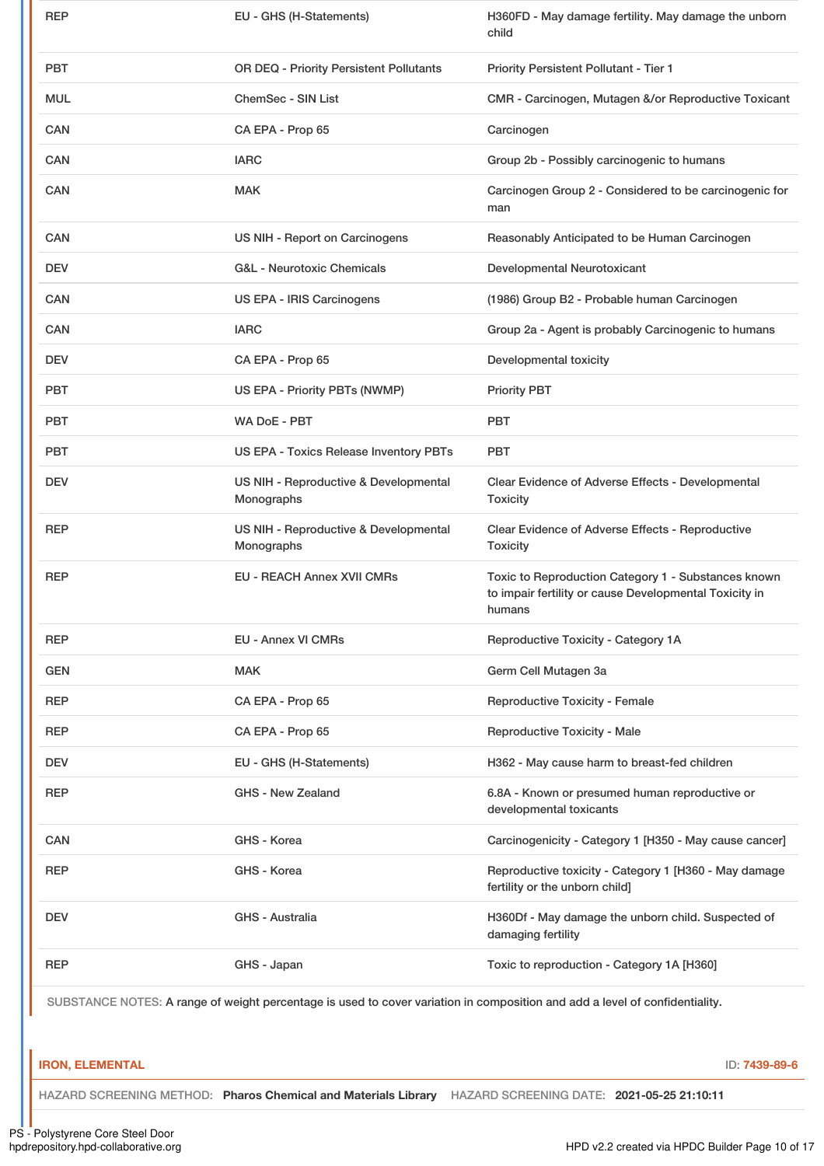| <b>REP</b>                                                                                                                  | EU - GHS (H-Statements)                             | H360FD - May damage fertility. May damage the unborn<br>child                                                           |  |  |
|-----------------------------------------------------------------------------------------------------------------------------|-----------------------------------------------------|-------------------------------------------------------------------------------------------------------------------------|--|--|
| PBT                                                                                                                         | OR DEQ - Priority Persistent Pollutants             | <b>Priority Persistent Pollutant - Tier 1</b>                                                                           |  |  |
| MUL                                                                                                                         | ChemSec - SIN List                                  | CMR - Carcinogen, Mutagen &/or Reproductive Toxicant                                                                    |  |  |
| CAN                                                                                                                         | CA EPA - Prop 65                                    | Carcinogen                                                                                                              |  |  |
| CAN                                                                                                                         | <b>IARC</b>                                         | Group 2b - Possibly carcinogenic to humans                                                                              |  |  |
| CAN                                                                                                                         | <b>MAK</b>                                          | Carcinogen Group 2 - Considered to be carcinogenic for<br>man                                                           |  |  |
| CAN                                                                                                                         | US NIH - Report on Carcinogens                      | Reasonably Anticipated to be Human Carcinogen                                                                           |  |  |
| <b>DEV</b>                                                                                                                  | <b>G&amp;L - Neurotoxic Chemicals</b>               | Developmental Neurotoxicant                                                                                             |  |  |
| <b>CAN</b>                                                                                                                  | US EPA - IRIS Carcinogens                           | (1986) Group B2 - Probable human Carcinogen                                                                             |  |  |
| <b>CAN</b>                                                                                                                  | <b>IARC</b>                                         | Group 2a - Agent is probably Carcinogenic to humans                                                                     |  |  |
| <b>DEV</b>                                                                                                                  | CA EPA - Prop 65                                    | Developmental toxicity                                                                                                  |  |  |
| PBT                                                                                                                         | US EPA - Priority PBTs (NWMP)                       | <b>Priority PBT</b>                                                                                                     |  |  |
| PBT                                                                                                                         | WA DoE - PBT                                        | <b>PBT</b>                                                                                                              |  |  |
| <b>PBT</b>                                                                                                                  | US EPA - Toxics Release Inventory PBTs              | <b>PBT</b>                                                                                                              |  |  |
| <b>DEV</b>                                                                                                                  | US NIH - Reproductive & Developmental<br>Monographs | Clear Evidence of Adverse Effects - Developmental<br><b>Toxicity</b>                                                    |  |  |
| <b>REP</b>                                                                                                                  | US NIH - Reproductive & Developmental<br>Monographs | Clear Evidence of Adverse Effects - Reproductive<br><b>Toxicity</b>                                                     |  |  |
| REP                                                                                                                         | <b>EU - REACH Annex XVII CMRs</b>                   | Toxic to Reproduction Category 1 - Substances known<br>to impair fertility or cause Developmental Toxicity in<br>humans |  |  |
| <b>REP</b>                                                                                                                  | <b>EU - Annex VI CMRs</b>                           | Reproductive Toxicity - Category 1A                                                                                     |  |  |
| <b>GEN</b>                                                                                                                  | <b>MAK</b>                                          | Germ Cell Mutagen 3a                                                                                                    |  |  |
| REP                                                                                                                         | CA EPA - Prop 65                                    | <b>Reproductive Toxicity - Female</b>                                                                                   |  |  |
| REP                                                                                                                         | CA EPA - Prop 65                                    | <b>Reproductive Toxicity - Male</b>                                                                                     |  |  |
| <b>DEV</b>                                                                                                                  | EU - GHS (H-Statements)                             | H362 - May cause harm to breast-fed children                                                                            |  |  |
| <b>REP</b>                                                                                                                  | <b>GHS - New Zealand</b>                            | 6.8A - Known or presumed human reproductive or<br>developmental toxicants                                               |  |  |
| CAN                                                                                                                         | GHS - Korea                                         | Carcinogenicity - Category 1 [H350 - May cause cancer]                                                                  |  |  |
| REP                                                                                                                         | GHS - Korea                                         | Reproductive toxicity - Category 1 [H360 - May damage<br>fertility or the unborn child]                                 |  |  |
| <b>DEV</b>                                                                                                                  | GHS - Australia                                     | H360Df - May damage the unborn child. Suspected of<br>damaging fertility                                                |  |  |
| REP                                                                                                                         | GHS - Japan                                         | Toxic to reproduction - Category 1A [H360]                                                                              |  |  |
| SUBSTANCE NOTES: A range of weight percentage is used to cover variation in composition and add a level of confidentiality. |                                                     |                                                                                                                         |  |  |

### **IRON, ELEMENTAL** ID: **7439-89-6**

HAZARD SCREENING METHOD: **Pharos Chemical and Materials Library** HAZARD SCREENING DATE: **2021-05-25 21:10:11**

PS - Polystyrene Core Steel Door<br>hpdrepository.hpd-collaborative.org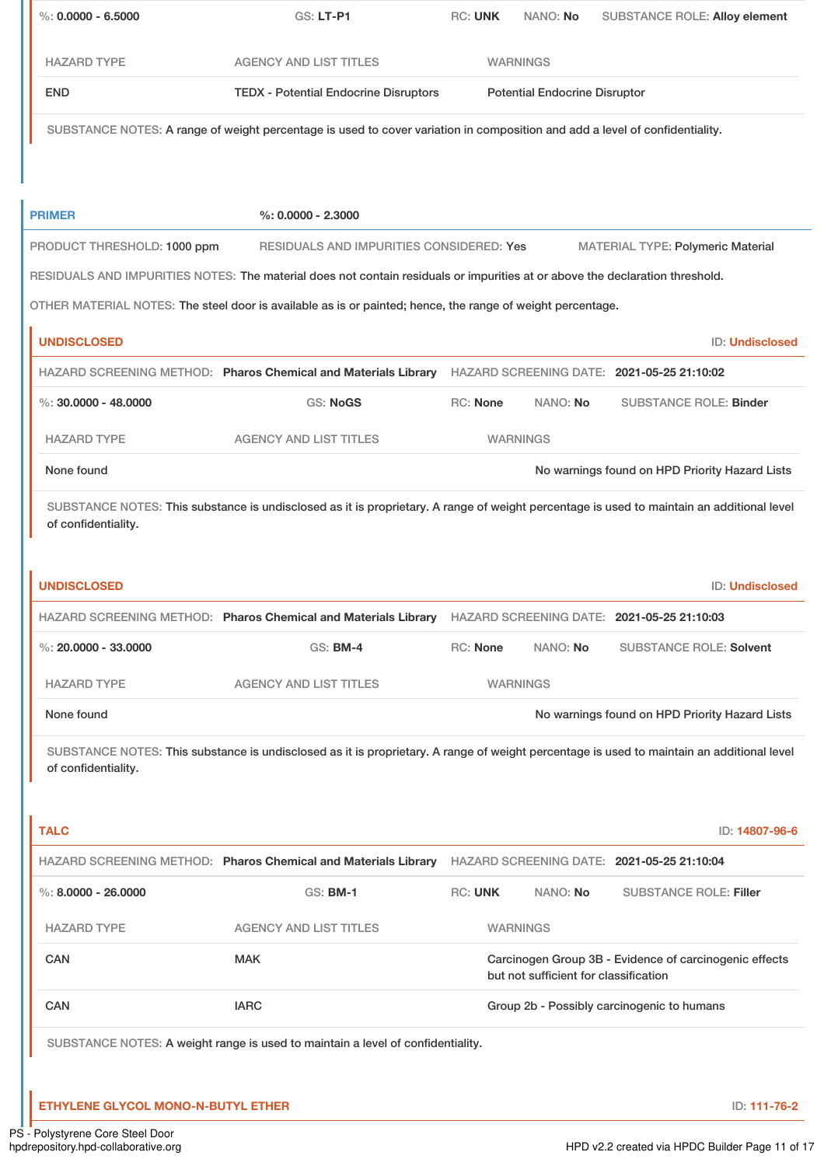| $\%$ : 0.0000 - 6.5000                 | GS: LT-P1                                                                                                                                 | <b>RC: UNK</b>  | NANO: No                              | <b>SUBSTANCE ROLE: Alloy element</b>                   |  |  |
|----------------------------------------|-------------------------------------------------------------------------------------------------------------------------------------------|-----------------|---------------------------------------|--------------------------------------------------------|--|--|
| <b>HAZARD TYPE</b>                     | <b>AGENCY AND LIST TITLES</b>                                                                                                             | <b>WARNINGS</b> |                                       |                                                        |  |  |
| <b>END</b>                             | <b>TEDX - Potential Endocrine Disruptors</b>                                                                                              |                 | <b>Potential Endocrine Disruptor</b>  |                                                        |  |  |
|                                        | SUBSTANCE NOTES: A range of weight percentage is used to cover variation in composition and add a level of confidentiality.               |                 |                                       |                                                        |  |  |
| <b>PRIMER</b>                          | $%: 0.0000 - 2.3000$                                                                                                                      |                 |                                       |                                                        |  |  |
| PRODUCT THRESHOLD: 1000 ppm            | RESIDUALS AND IMPURITIES CONSIDERED: Yes                                                                                                  |                 |                                       | <b>MATERIAL TYPE: Polymeric Material</b>               |  |  |
|                                        | RESIDUALS AND IMPURITIES NOTES: The material does not contain residuals or impurities at or above the declaration threshold.              |                 |                                       |                                                        |  |  |
|                                        | OTHER MATERIAL NOTES: The steel door is available as is or painted; hence, the range of weight percentage.                                |                 |                                       |                                                        |  |  |
| <b>UNDISCLOSED</b>                     |                                                                                                                                           |                 |                                       | ID: Undisclosed                                        |  |  |
|                                        | HAZARD SCREENING METHOD: Pharos Chemical and Materials Library HAZARD SCREENING DATE: 2021-05-25 21:10:02                                 |                 |                                       |                                                        |  |  |
| %: $30.0000 - 48.0000$                 | <b>GS: NoGS</b>                                                                                                                           | RC: None        | NANO: No                              | <b>SUBSTANCE ROLE: Binder</b>                          |  |  |
| <b>HAZARD TYPE</b>                     | <b>AGENCY AND LIST TITLES</b>                                                                                                             |                 | <b>WARNINGS</b>                       |                                                        |  |  |
| None found                             |                                                                                                                                           |                 |                                       | No warnings found on HPD Priority Hazard Lists         |  |  |
|                                        | HAZARD SCREENING METHOD: Pharos Chemical and Materials Library HAZARD SCREENING DATE: 2021-05-25 21:10:03                                 |                 |                                       |                                                        |  |  |
| %: $20,0000 - 33,0000$                 | $GS:$ BM-4                                                                                                                                | RC: None        | NANO: No                              | <b>SUBSTANCE ROLE: Solvent</b>                         |  |  |
| <b>HAZARD TYPE</b>                     | <b>AGENCY AND LIST TITLES</b>                                                                                                             |                 | <b>WARNINGS</b>                       |                                                        |  |  |
| None found                             |                                                                                                                                           |                 |                                       | No warnings found on HPD Priority Hazard Lists         |  |  |
| of confidentiality.                    | SUBSTANCE NOTES: This substance is undisclosed as it is proprietary. A range of weight percentage is used to maintain an additional level |                 |                                       |                                                        |  |  |
|                                        |                                                                                                                                           |                 |                                       |                                                        |  |  |
|                                        |                                                                                                                                           |                 |                                       | ID: 14807-96-6                                         |  |  |
|                                        | HAZARD SCREENING METHOD: Pharos Chemical and Materials Library HAZARD SCREENING DATE: 2021-05-25 21:10:04                                 |                 |                                       |                                                        |  |  |
|                                        | <b>GS: BM-1</b>                                                                                                                           | <b>RC: UNK</b>  | NANO: No                              | <b>SUBSTANCE ROLE: Filler</b>                          |  |  |
| <b>HAZARD TYPE</b>                     | <b>AGENCY AND LIST TITLES</b>                                                                                                             |                 | <b>WARNINGS</b>                       |                                                        |  |  |
| CAN                                    | <b>MAK</b>                                                                                                                                |                 | but not sufficient for classification | Carcinogen Group 3B - Evidence of carcinogenic effects |  |  |
| <b>CAN</b>                             | <b>IARC</b>                                                                                                                               |                 |                                       | Group 2b - Possibly carcinogenic to humans             |  |  |
| <b>TALC</b><br>$\%$ : 8.0000 - 26.0000 | SUBSTANCE NOTES: A weight range is used to maintain a level of confidentiality.                                                           |                 |                                       |                                                        |  |  |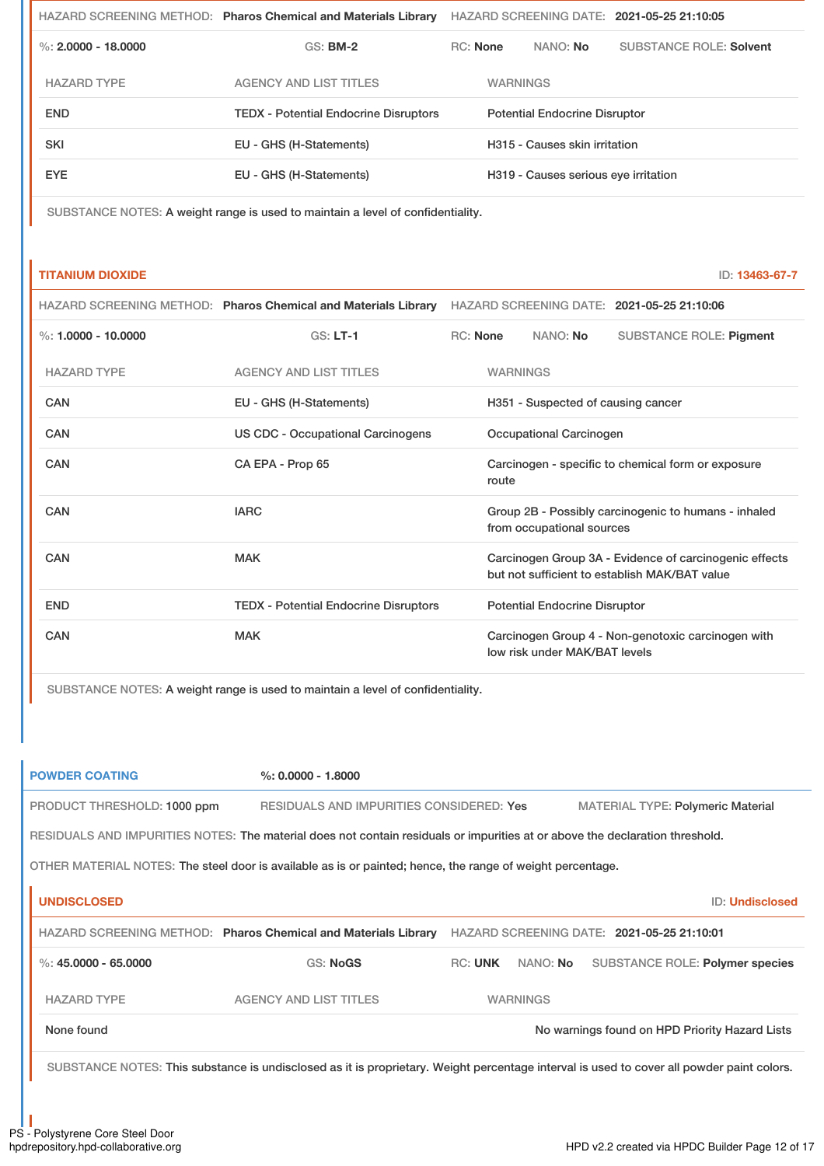|                       |                    | HAZARD SCREENING METHOD: Pharos Chemical and Materials Library | HAZARD SCREENING DATE: 2021-05-25 21:10:05 |                               |                                      |                                |  |
|-----------------------|--------------------|----------------------------------------------------------------|--------------------------------------------|-------------------------------|--------------------------------------|--------------------------------|--|
| %: $2,0000 - 18,0000$ |                    | $GS:$ BM-2                                                     |                                            | <b>RC:</b> None<br>NANO: No   |                                      | <b>SUBSTANCE ROLE: Solvent</b> |  |
|                       | <b>HAZARD TYPE</b> | <b>AGENCY AND LIST TITLES</b>                                  |                                            | <b>WARNINGS</b>               |                                      |                                |  |
|                       | <b>END</b>         | <b>TEDX - Potential Endocrine Disruptors</b>                   |                                            |                               | <b>Potential Endocrine Disruptor</b> |                                |  |
|                       | SKI                | EU - GHS (H-Statements)                                        |                                            | H315 - Causes skin irritation |                                      |                                |  |
|                       | EYE.               | EU - GHS (H-Statements)                                        | H319 - Causes serious eye irritation       |                               |                                      |                                |  |
|                       |                    |                                                                |                                            |                               |                                      |                                |  |

SUBSTANCE NOTES: A weight range is used to maintain a level of confidentiality.

#### **TITANIUM DIOXIDE** ID: **13463-67-7**

|                       | HAZARD SCREENING METHOD: Pharos Chemical and Materials Library | HAZARD SCREENING DATE: 2021-05-25 21:10:06 |                                                                                                         |                                      |                                                    |  |
|-----------------------|----------------------------------------------------------------|--------------------------------------------|---------------------------------------------------------------------------------------------------------|--------------------------------------|----------------------------------------------------|--|
| %: $1.0000 - 10.0000$ | $GS: LT-1$                                                     | <b>RC: None</b>                            |                                                                                                         | NANO: No                             | <b>SUBSTANCE ROLE: Pigment</b>                     |  |
| <b>HAZARD TYPE</b>    | <b>AGENCY AND LIST TITLES</b>                                  |                                            | <b>WARNINGS</b>                                                                                         |                                      |                                                    |  |
| CAN                   | EU - GHS (H-Statements)                                        |                                            | H351 - Suspected of causing cancer                                                                      |                                      |                                                    |  |
| <b>CAN</b>            | US CDC - Occupational Carcinogens                              |                                            | Occupational Carcinogen                                                                                 |                                      |                                                    |  |
| CAN                   | CA EPA - Prop 65                                               |                                            | Carcinogen - specific to chemical form or exposure<br>route                                             |                                      |                                                    |  |
| CAN                   | <b>IARC</b>                                                    |                                            | Group 2B - Possibly carcinogenic to humans - inhaled<br>from occupational sources                       |                                      |                                                    |  |
| CAN                   | <b>MAK</b>                                                     |                                            | Carcinogen Group 3A - Evidence of carcinogenic effects<br>but not sufficient to establish MAK/BAT value |                                      |                                                    |  |
| <b>END</b>            | <b>TEDX</b> - Potential Endocrine Disruptors                   |                                            |                                                                                                         | <b>Potential Endocrine Disruptor</b> |                                                    |  |
| CAN                   | <b>MAK</b>                                                     |                                            |                                                                                                         | low risk under MAK/BAT levels        | Carcinogen Group 4 - Non-genotoxic carcinogen with |  |

SUBSTANCE NOTES: A weight range is used to maintain a level of confidentiality.

# **POWDER COATING %: 0.0000 - 1.8000**

PRODUCT THRESHOLD: 1000 ppm RESIDUALS AND IMPURITIES CONSIDERED: Yes MATERIAL TYPE: Polymeric Material

RESIDUALS AND IMPURITIES NOTES: The material does not contain residuals or impurities at or above the declaration threshold.

OTHER MATERIAL NOTES: The steel door is available as is or painted; hence, the range of weight percentage.

| <b>UNDISCLOSED</b>     |                                                                |                |                 | <b>ID: Undisclosed</b>                         |
|------------------------|----------------------------------------------------------------|----------------|-----------------|------------------------------------------------|
|                        | HAZARD SCREENING METHOD: Pharos Chemical and Materials Library |                |                 | HAZARD SCREENING DATE: 2021-05-25 21:10:01     |
| %: $45.0000 - 65.0000$ | <b>GS: NoGS</b>                                                | <b>RC: UNK</b> | NANO: No        | SUBSTANCE ROLE: Polymer species                |
| <b>HAZARD TYPE</b>     | <b>AGENCY AND LIST TITLES</b>                                  |                | <b>WARNINGS</b> |                                                |
| None found             |                                                                |                |                 | No warnings found on HPD Priority Hazard Lists |

SUBSTANCE NOTES: This substance is undisclosed as it is proprietary. Weight percentage interval is used to cover all powder paint colors.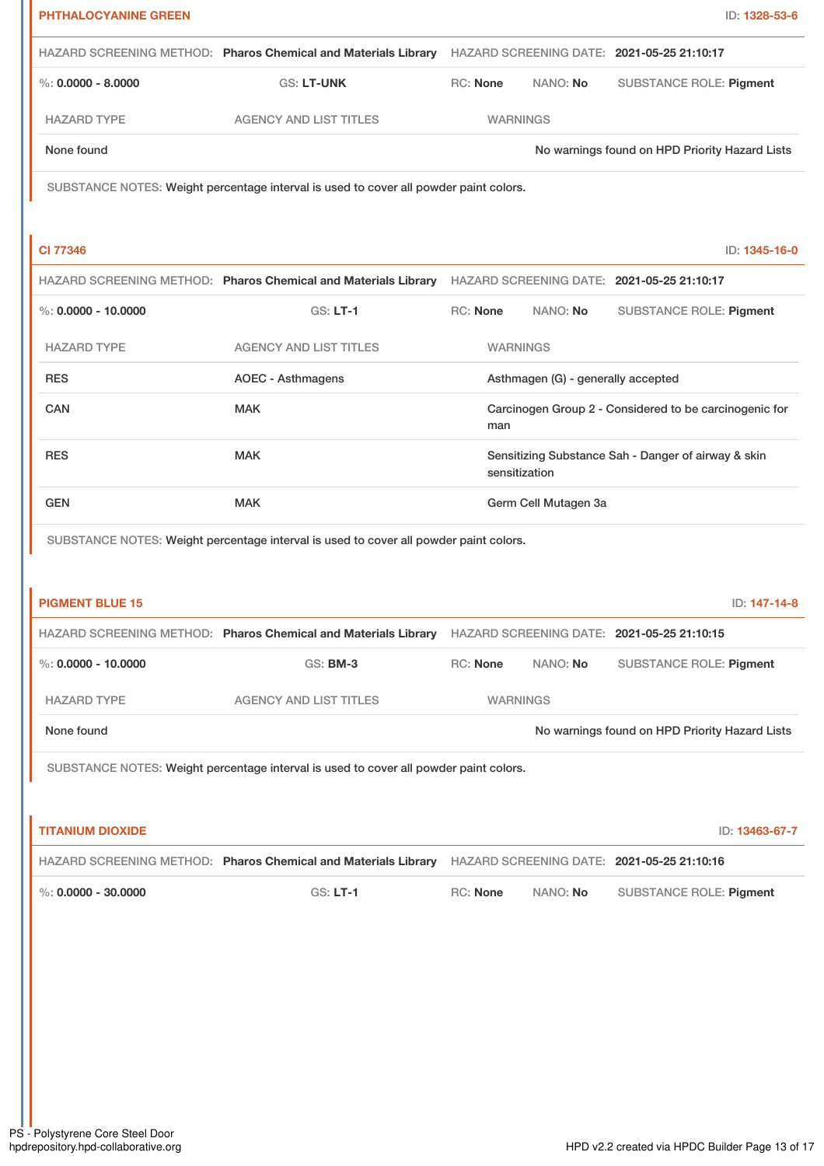| <b>PHTHALOCYANINE GREEN</b> |                                                                                                           |                 |                                    | ID: 1328-53-6                                          |  |
|-----------------------------|-----------------------------------------------------------------------------------------------------------|-----------------|------------------------------------|--------------------------------------------------------|--|
|                             | HAZARD SCREENING METHOD: Pharos Chemical and Materials Library HAZARD SCREENING DATE: 2021-05-25 21:10:17 |                 |                                    |                                                        |  |
| $\%$ : 0.0000 - 8.0000      | <b>GS: LT-UNK</b>                                                                                         | <b>RC: None</b> | NANO: No                           | <b>SUBSTANCE ROLE: Pigment</b>                         |  |
| <b>HAZARD TYPE</b>          | <b>AGENCY AND LIST TITLES</b>                                                                             |                 | <b>WARNINGS</b>                    |                                                        |  |
| None found                  |                                                                                                           |                 |                                    | No warnings found on HPD Priority Hazard Lists         |  |
|                             | SUBSTANCE NOTES: Weight percentage interval is used to cover all powder paint colors.                     |                 |                                    |                                                        |  |
|                             |                                                                                                           |                 |                                    |                                                        |  |
| <b>CI 77346</b>             |                                                                                                           |                 |                                    | ID: 1345-16-0                                          |  |
|                             | HAZARD SCREENING METHOD: Pharos Chemical and Materials Library HAZARD SCREENING DATE: 2021-05-25 21:10:17 |                 |                                    |                                                        |  |
| %: $0.0000 - 10.0000$       | <b>GS: LT-1</b>                                                                                           | <b>RC: None</b> | NANO: No                           | <b>SUBSTANCE ROLE: Pigment</b>                         |  |
| <b>HAZARD TYPE</b>          | <b>AGENCY AND LIST TITLES</b>                                                                             |                 | <b>WARNINGS</b>                    |                                                        |  |
| <b>RES</b>                  | <b>AOEC - Asthmagens</b>                                                                                  |                 | Asthmagen (G) - generally accepted |                                                        |  |
| CAN                         | <b>MAK</b>                                                                                                | man             |                                    | Carcinogen Group 2 - Considered to be carcinogenic for |  |
| <b>RES</b>                  | <b>MAK</b>                                                                                                |                 | sensitization                      | Sensitizing Substance Sah - Danger of airway & skin    |  |
| <b>GEN</b>                  | <b>MAK</b>                                                                                                |                 | Germ Cell Mutagen 3a               |                                                        |  |
| <b>PIGMENT BLUE 15</b>      |                                                                                                           |                 |                                    | ID: 147-14-8                                           |  |
|                             | HAZARD SCREENING METHOD: Pharos Chemical and Materials Library HAZARD SCREENING DATE: 2021-05-25 21:10:15 |                 |                                    |                                                        |  |
| $\%$ : 0.0000 - 10.0000     | <b>GS: BM-3</b>                                                                                           | RC: None        | NANO: No                           | <b>SUBSTANCE ROLE: Pigment</b>                         |  |
| <b>HAZARD TYPE</b>          | <b>AGENCY AND LIST TITLES</b>                                                                             |                 | <b>WARNINGS</b>                    |                                                        |  |
| None found                  |                                                                                                           |                 |                                    | No warnings found on HPD Priority Hazard Lists         |  |
|                             | SUBSTANCE NOTES: Weight percentage interval is used to cover all powder paint colors.                     |                 |                                    |                                                        |  |
|                             |                                                                                                           |                 |                                    |                                                        |  |
| <b>TITANIUM DIOXIDE</b>     |                                                                                                           |                 |                                    | ID: 13463-67-7                                         |  |
|                             | HAZARD SCREENING METHOD: Pharos Chemical and Materials Library HAZARD SCREENING DATE: 2021-05-25 21:10:16 |                 |                                    |                                                        |  |
| $\%$ : 0.0000 - 30.0000     | <b>GS: LT-1</b>                                                                                           | RC: None        | NANO: No                           | SUBSTANCE ROLE: Pigment                                |  |
|                             |                                                                                                           |                 |                                    |                                                        |  |
|                             |                                                                                                           |                 |                                    |                                                        |  |
|                             |                                                                                                           |                 |                                    |                                                        |  |
|                             |                                                                                                           |                 |                                    |                                                        |  |
|                             |                                                                                                           |                 |                                    |                                                        |  |
|                             |                                                                                                           |                 |                                    |                                                        |  |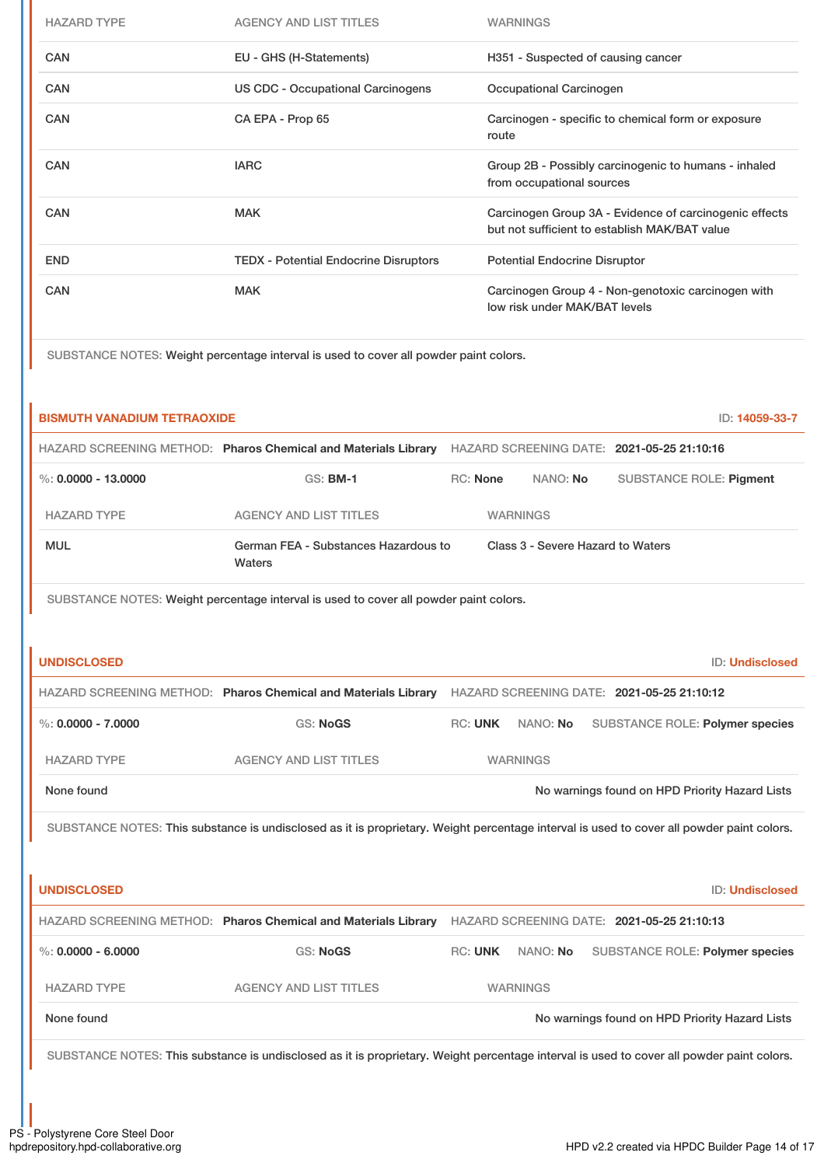| <b>HAZARD TYPE</b> | <b>AGENCY AND LIST TITLES</b>                | <b>WARNINGS</b>                                                                                         |
|--------------------|----------------------------------------------|---------------------------------------------------------------------------------------------------------|
| <b>CAN</b>         | EU - GHS (H-Statements)                      | H351 - Suspected of causing cancer                                                                      |
| <b>CAN</b>         | US CDC - Occupational Carcinogens            | Occupational Carcinogen                                                                                 |
| <b>CAN</b>         | CA EPA - Prop 65                             | Carcinogen - specific to chemical form or exposure<br>route                                             |
| <b>CAN</b>         | <b>IARC</b>                                  | Group 2B - Possibly carcinogenic to humans - inhaled<br>from occupational sources                       |
| <b>CAN</b>         | <b>MAK</b>                                   | Carcinogen Group 3A - Evidence of carcinogenic effects<br>but not sufficient to establish MAK/BAT value |
| <b>END</b>         | <b>TEDX - Potential Endocrine Disruptors</b> | <b>Potential Endocrine Disruptor</b>                                                                    |
| <b>CAN</b>         | <b>MAK</b>                                   | Carcinogen Group 4 - Non-genotoxic carcinogen with<br>low risk under MAK/BAT levels                     |

SUBSTANCE NOTES: Weight percentage interval is used to cover all powder paint colors.

| <b>BISMUTH VANADIUM TETRAOXIDE</b>                             |                                                                                                                                           |                                   |                 |                                                | ID: 14059-33-7 |  |
|----------------------------------------------------------------|-------------------------------------------------------------------------------------------------------------------------------------------|-----------------------------------|-----------------|------------------------------------------------|----------------|--|
| HAZARD SCREENING METHOD: Pharos Chemical and Materials Library |                                                                                                                                           |                                   |                 | HAZARD SCREENING DATE: 2021-05-25 21:10:16     |                |  |
| $\%$ : 0.0000 - 13.0000                                        | <b>GS: BM-1</b>                                                                                                                           | RC: None<br>NANO: No              |                 | <b>SUBSTANCE ROLE: Pigment</b>                 |                |  |
| <b>HAZARD TYPE</b>                                             | <b>AGENCY AND LIST TITLES</b>                                                                                                             |                                   | <b>WARNINGS</b> |                                                |                |  |
| <b>MUL</b>                                                     | German FEA - Substances Hazardous to<br>Waters                                                                                            | Class 3 - Severe Hazard to Waters |                 |                                                |                |  |
|                                                                | SUBSTANCE NOTES: Weight percentage interval is used to cover all powder paint colors.                                                     |                                   |                 |                                                |                |  |
|                                                                |                                                                                                                                           |                                   |                 |                                                |                |  |
| <b>UNDISCLOSED</b>                                             |                                                                                                                                           |                                   |                 | ID: Undisclosed                                |                |  |
|                                                                | HAZARD SCREENING METHOD: Pharos Chemical and Materials Library HAZARD SCREENING DATE: 2021-05-25 21:10:12                                 |                                   |                 |                                                |                |  |
| $\%$ : 0.0000 - 7.0000                                         | <b>GS: NoGS</b>                                                                                                                           | RC: UNK                           | NANO: No        | SUBSTANCE ROLE: Polymer species                |                |  |
| <b>HAZARD TYPE</b>                                             | <b>AGENCY AND LIST TITLES</b>                                                                                                             |                                   | <b>WARNINGS</b> |                                                |                |  |
| None found<br>No warnings found on HPD Priority Hazard Lists   |                                                                                                                                           |                                   |                 |                                                |                |  |
|                                                                | SUBSTANCE NOTES: This substance is undisclosed as it is proprietary. Weight percentage interval is used to cover all powder paint colors. |                                   |                 |                                                |                |  |
|                                                                |                                                                                                                                           |                                   |                 |                                                |                |  |
| <b>UNDISCLOSED</b>                                             |                                                                                                                                           |                                   |                 | <b>ID: Undisclosed</b>                         |                |  |
|                                                                | HAZARD SCREENING METHOD: Pharos Chemical and Materials Library HAZARD SCREENING DATE: 2021-05-25 21:10:13                                 |                                   |                 |                                                |                |  |
| $\%$ : 0.0000 - 6.0000                                         | <b>GS: NoGS</b>                                                                                                                           | RC: UNK                           | NANO: No        | SUBSTANCE ROLE: Polymer species                |                |  |
| <b>HAZARD TYPE</b>                                             | <b>AGENCY AND LIST TITLES</b>                                                                                                             |                                   | <b>WARNINGS</b> |                                                |                |  |
| None found                                                     |                                                                                                                                           |                                   |                 | No warnings found on HPD Priority Hazard Lists |                |  |
|                                                                | SUBSTANCE NOTES: This substance is undisclosed as it is proprietary. Weight percentage interval is used to cover all powder paint colors. |                                   |                 |                                                |                |  |
|                                                                |                                                                                                                                           |                                   |                 |                                                |                |  |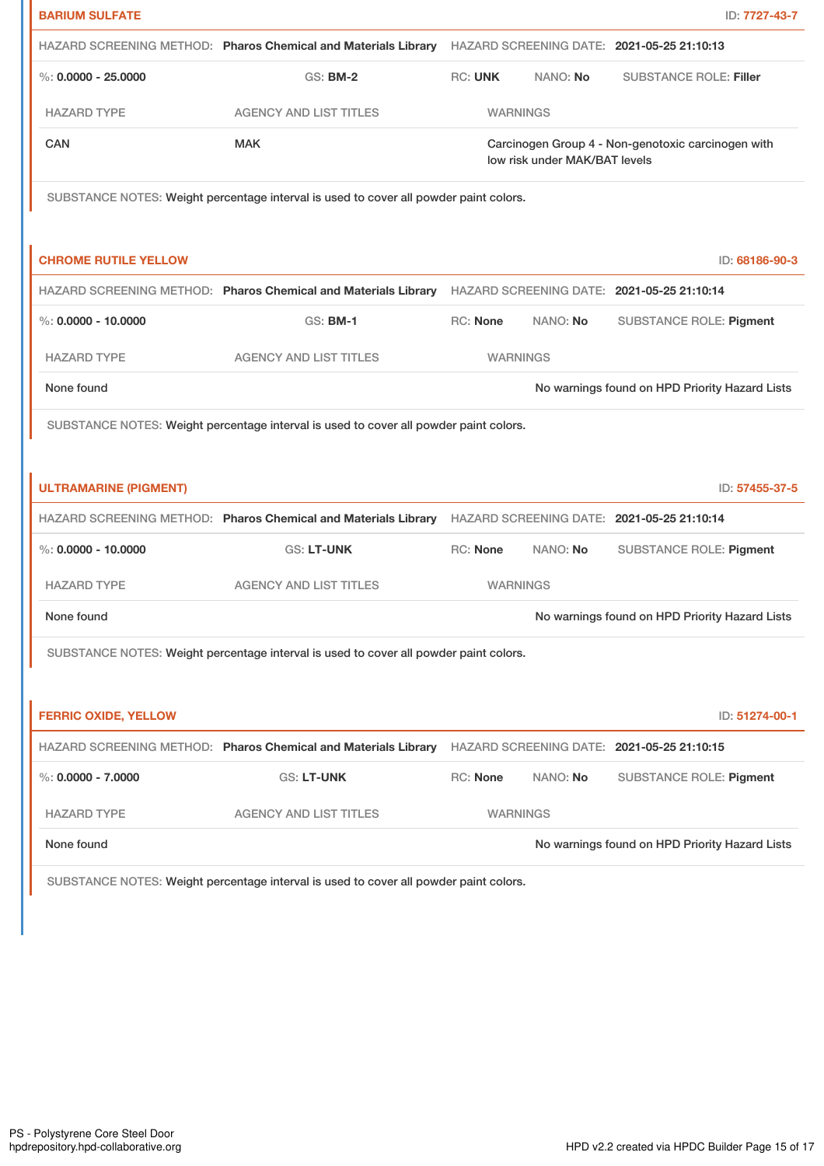| <b>BARIUM SULFATE</b>                                                                 |                                                                                                           |                 |                               | ID: 7727-43-7                                      |  |
|---------------------------------------------------------------------------------------|-----------------------------------------------------------------------------------------------------------|-----------------|-------------------------------|----------------------------------------------------|--|
|                                                                                       | HAZARD SCREENING METHOD: Pharos Chemical and Materials Library HAZARD SCREENING DATE: 2021-05-25 21:10:13 |                 |                               |                                                    |  |
| $\%$ : 0.0000 - 25.0000                                                               | <b>GS: BM-2</b>                                                                                           | <b>RC: UNK</b>  | NANO: No                      | <b>SUBSTANCE ROLE: Filler</b>                      |  |
| <b>HAZARD TYPE</b>                                                                    | <b>AGENCY AND LIST TITLES</b>                                                                             | <b>WARNINGS</b> |                               |                                                    |  |
| CAN                                                                                   | <b>MAK</b>                                                                                                |                 | low risk under MAK/BAT levels | Carcinogen Group 4 - Non-genotoxic carcinogen with |  |
|                                                                                       | SUBSTANCE NOTES: Weight percentage interval is used to cover all powder paint colors.                     |                 |                               |                                                    |  |
| <b>CHROME RUTILE YELLOW</b>                                                           |                                                                                                           |                 |                               | ID: 68186-90-3                                     |  |
|                                                                                       | HAZARD SCREENING METHOD: Pharos Chemical and Materials Library HAZARD SCREENING DATE: 2021-05-25 21:10:14 |                 |                               |                                                    |  |
| $\%$ : 0.0000 - 10.0000                                                               | <b>GS: BM-1</b>                                                                                           | <b>RC: None</b> | NANO: No                      | <b>SUBSTANCE ROLE: Pigment</b>                     |  |
| <b>HAZARD TYPE</b>                                                                    | <b>AGENCY AND LIST TITLES</b>                                                                             | <b>WARNINGS</b> |                               |                                                    |  |
| None found                                                                            |                                                                                                           |                 |                               | No warnings found on HPD Priority Hazard Lists     |  |
| SUBSTANCE NOTES: Weight percentage interval is used to cover all powder paint colors. |                                                                                                           |                 |                               |                                                    |  |
|                                                                                       |                                                                                                           |                 |                               |                                                    |  |
| <b>ULTRAMARINE (PIGMENT)</b>                                                          |                                                                                                           |                 |                               | ID: 57455-37-5                                     |  |
|                                                                                       | HAZARD SCREENING METHOD: Pharos Chemical and Materials Library                                            |                 |                               | HAZARD SCREENING DATE: 2021-05-25 21:10:14         |  |
| $\%$ : 0.0000 - 10.0000                                                               | <b>GS: LT-UNK</b>                                                                                         | <b>RC: None</b> | NANO: No                      | <b>SUBSTANCE ROLE: Pigment</b>                     |  |
| <b>HAZARD TYPE</b>                                                                    | <b>AGENCY AND LIST TITLES</b>                                                                             | <b>WARNINGS</b> |                               |                                                    |  |
| None found                                                                            |                                                                                                           |                 |                               | No warnings found on HPD Priority Hazard Lists     |  |
|                                                                                       | SUBSTANCE NOTES: Weight percentage interval is used to cover all powder paint colors.                     |                 |                               |                                                    |  |
|                                                                                       |                                                                                                           |                 |                               |                                                    |  |
| <b>FERRIC OXIDE, YELLOW</b>                                                           |                                                                                                           |                 |                               | ID: 51274-00-1                                     |  |
|                                                                                       | HAZARD SCREENING METHOD: Pharos Chemical and Materials Library HAZARD SCREENING DATE: 2021-05-25 21:10:15 |                 |                               |                                                    |  |
| $\%$ : 0.0000 - 7.0000                                                                | GS: LT-UNK                                                                                                | <b>RC: None</b> | NANO: No                      | <b>SUBSTANCE ROLE: Pigment</b>                     |  |
| <b>HAZARD TYPE</b>                                                                    | <b>AGENCY AND LIST TITLES</b>                                                                             | <b>WARNINGS</b> |                               |                                                    |  |
| None found                                                                            |                                                                                                           |                 |                               | No warnings found on HPD Priority Hazard Lists     |  |
|                                                                                       |                                                                                                           |                 |                               |                                                    |  |

SUBSTANCE NOTES: Weight percentage interval is used to cover all powder paint colors.

I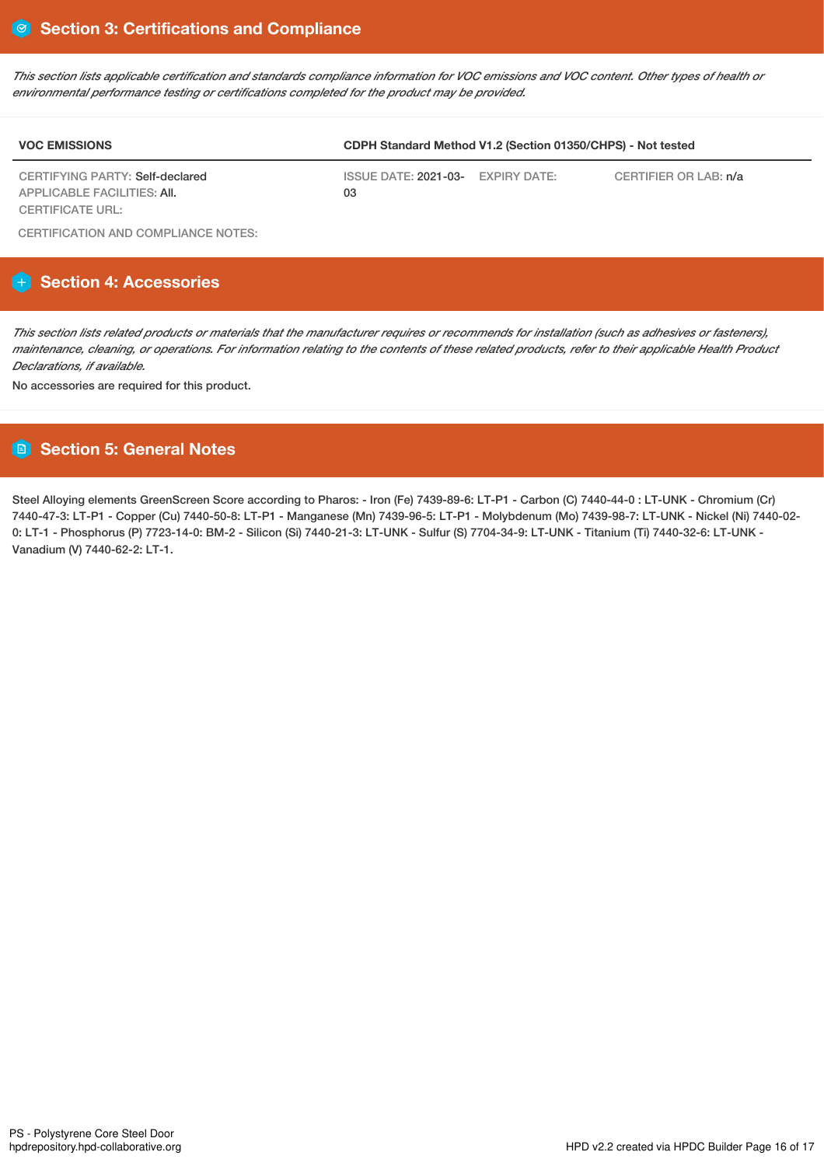This section lists applicable certification and standards compliance information for VOC emissions and VOC content. Other types of health or *environmental performance testing or certifications completed for the product may be provided.*

| <b>VOC EMISSIONS</b>            | CDPH Standard Method V1.2 (Section 01350/CHPS) - Not tested |  |                       |  |  |
|---------------------------------|-------------------------------------------------------------|--|-----------------------|--|--|
| CERTIFYING PARTY: Self-declared | ISSUE DATE: 2021-03- EXPIRY DATE:                           |  | CERTIFIER OR LAB: n/a |  |  |
| APPLICABLE FACILITIES: AII.     | 03                                                          |  |                       |  |  |
| CERTIFICATE URL:                |                                                             |  |                       |  |  |

CERTIFICATION AND COMPLIANCE NOTES:

# **Section 4: Accessories**

This section lists related products or materials that the manufacturer requires or recommends for installation (such as adhesives or fasteners), maintenance, cleaning, or operations. For information relating to the contents of these related products, refer to their applicable Health Product *Declarations, if available.*

No accessories are required for this product.

# **Section 5: General Notes**

Steel Alloying elements GreenScreen Score according to Pharos: - Iron (Fe) 7439-89-6: LT-P1 - Carbon (C) 7440-44-0 : LT-UNK - Chromium (Cr) 7440-47-3: LT-P1 - Copper (Cu) 7440-50-8: LT-P1 - Manganese (Mn) 7439-96-5: LT-P1 - Molybdenum (Mo) 7439-98-7: LT-UNK - Nickel (Ni) 7440-02- 0: LT-1 - Phosphorus (P) 7723-14-0: BM-2 - Silicon (Si) 7440-21-3: LT-UNK - Sulfur (S) 7704-34-9: LT-UNK - Titanium (Ti) 7440-32-6: LT-UNK - Vanadium (V) 7440-62-2: LT-1.